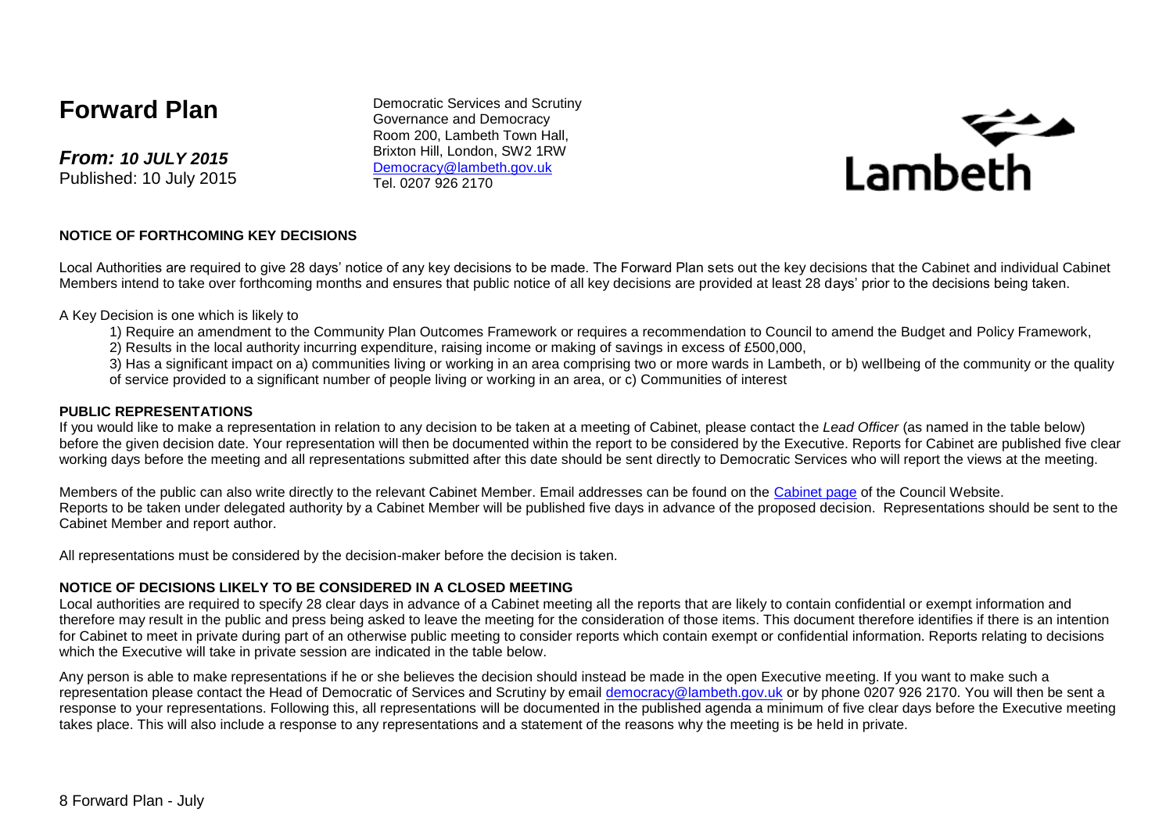# **Forward Plan**

*From: 10 JULY 2015* Published: 10 July 2015

Democratic Services and Scrutiny Governance and Democracy Room 200, Lambeth Town Hall, Brixton Hill, London, SW2 1RW [Democracy@lambeth.gov.uk](mailto:Democracy@lambeth.gov.uk) Tel. 0207 926 2170



#### **NOTICE OF FORTHCOMING KEY DECISIONS**

Local Authorities are required to give 28 days' notice of any key decisions to be made. The Forward Plan sets out the key decisions that the Cabinet and individual Cabinet Members intend to take over forthcoming months and ensures that public notice of all key decisions are provided at least 28 days' prior to the decisions being taken.

A Key Decision is one which is likely to

- 1) Require an amendment to the Community Plan Outcomes Framework or requires a recommendation to Council to amend the Budget and Policy Framework,
- 2) Results in the local authority incurring expenditure, raising income or making of savings in excess of £500,000,

3) Has a significant impact on a) communities living or working in an area comprising two or more wards in Lambeth, or b) wellbeing of the community or the quality of service provided to a significant number of people living or working in an area, or c) Communities of interest

#### **PUBLIC REPRESENTATIONS**

If you would like to make a representation in relation to any decision to be taken at a meeting of Cabinet, please contact the *Lead Officer* (as named in the table below) before the given decision date. Your representation will then be documented within the report to be considered by the Executive. Reports for Cabinet are published five clear working days before the meeting and all representations submitted after this date should be sent directly to Democratic Services who will report the views at the meeting.

Members of the public can also write directly to the relevant Cabinet Member. Email addresses can be found on the [Cabinet page](http://www.lambeth.gov.uk/elections-and-council/councillors/the-mayor-the-leader-of-the-council-and-cabinet-members-guide#the-cabinet) of the Council Website. Reports to be taken under delegated authority by a Cabinet Member will be published five days in advance of the proposed decision. Representations should be sent to the Cabinet Member and report author.

All representations must be considered by the decision-maker before the decision is taken.

### **NOTICE OF DECISIONS LIKELY TO BE CONSIDERED IN A CLOSED MEETING**

Local authorities are required to specify 28 clear days in advance of a Cabinet meeting all the reports that are likely to contain confidential or exempt information and therefore may result in the public and press being asked to leave the meeting for the consideration of those items. This document therefore identifies if there is an intention for Cabinet to meet in private during part of an otherwise public meeting to consider reports which contain exempt or confidential information. Reports relating to decisions which the Executive will take in private session are indicated in the table below.

Any person is able to make representations if he or she believes the decision should instead be made in the open Executive meeting. If you want to make such a representation please contact the Head of Democratic of Services and Scrutiny by email [democracy@lambeth.gov.uk](mailto:democracy@lambeth.gov.uk) or by phone 0207 926 2170. You will then be sent a response to your representations. Following this, all representations will be documented in the published agenda a minimum of five clear days before the Executive meeting takes place. This will also include a response to any representations and a statement of the reasons why the meeting is be held in private.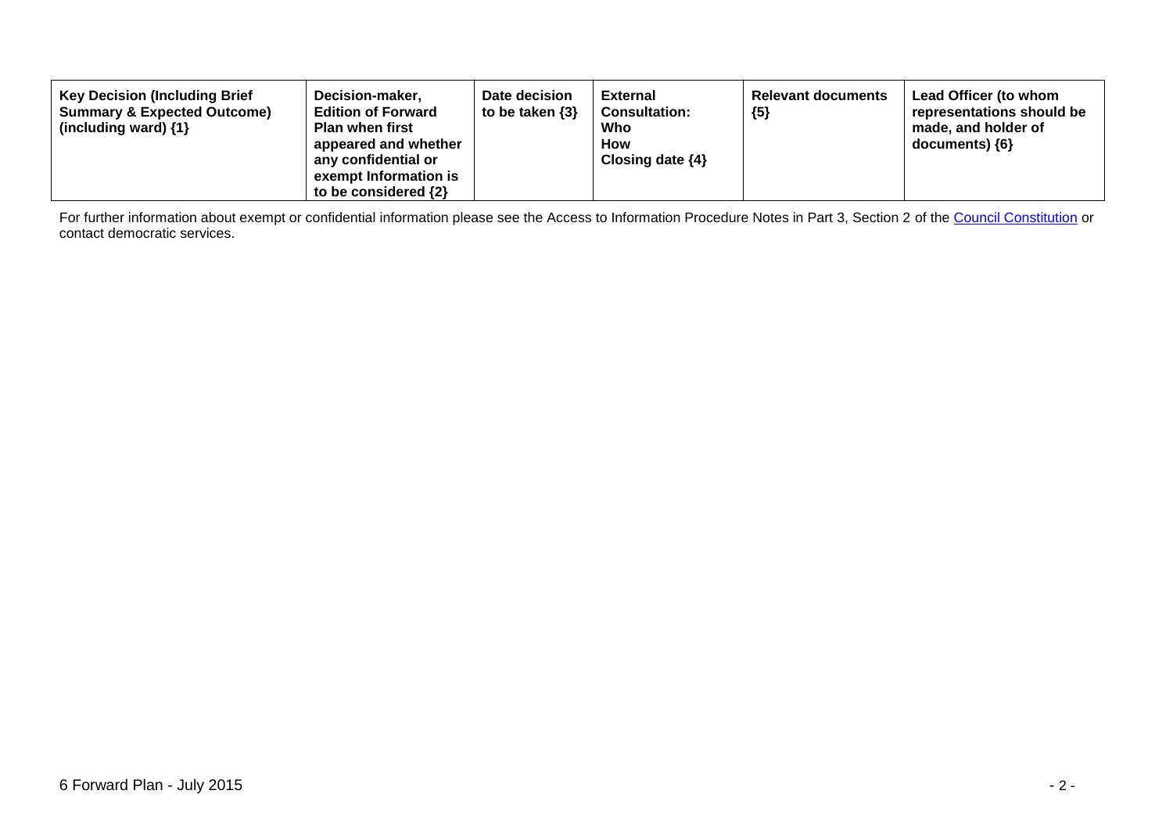| <b>Key Decision (Including Brief</b><br><b>Summary &amp; Expected Outcome)</b><br>(including ward) $\{1\}$ | Decision-maker,<br><b>Edition of Forward</b><br><b>Plan when first</b><br>appeared and whether<br>any confidential or<br>exempt Information is<br>to be considered $\{2\}$ | Date decision<br>to be taken $\{3\}$ | External<br><b>Consultation:</b><br>Who<br>How<br>Closing date $\{4\}$ | <b>Relevant documents</b><br>${5}$ | Lead Officer (to whom<br>representations should be<br>made, and holder of<br>$documents)$ {6} |
|------------------------------------------------------------------------------------------------------------|----------------------------------------------------------------------------------------------------------------------------------------------------------------------------|--------------------------------------|------------------------------------------------------------------------|------------------------------------|-----------------------------------------------------------------------------------------------|
|------------------------------------------------------------------------------------------------------------|----------------------------------------------------------------------------------------------------------------------------------------------------------------------------|--------------------------------------|------------------------------------------------------------------------|------------------------------------|-----------------------------------------------------------------------------------------------|

For further information about exempt or confidential information please see the Access to Information Procedure Notes in Part 3, Section 2 of the <u>Council Constitution</u> or contact democratic services.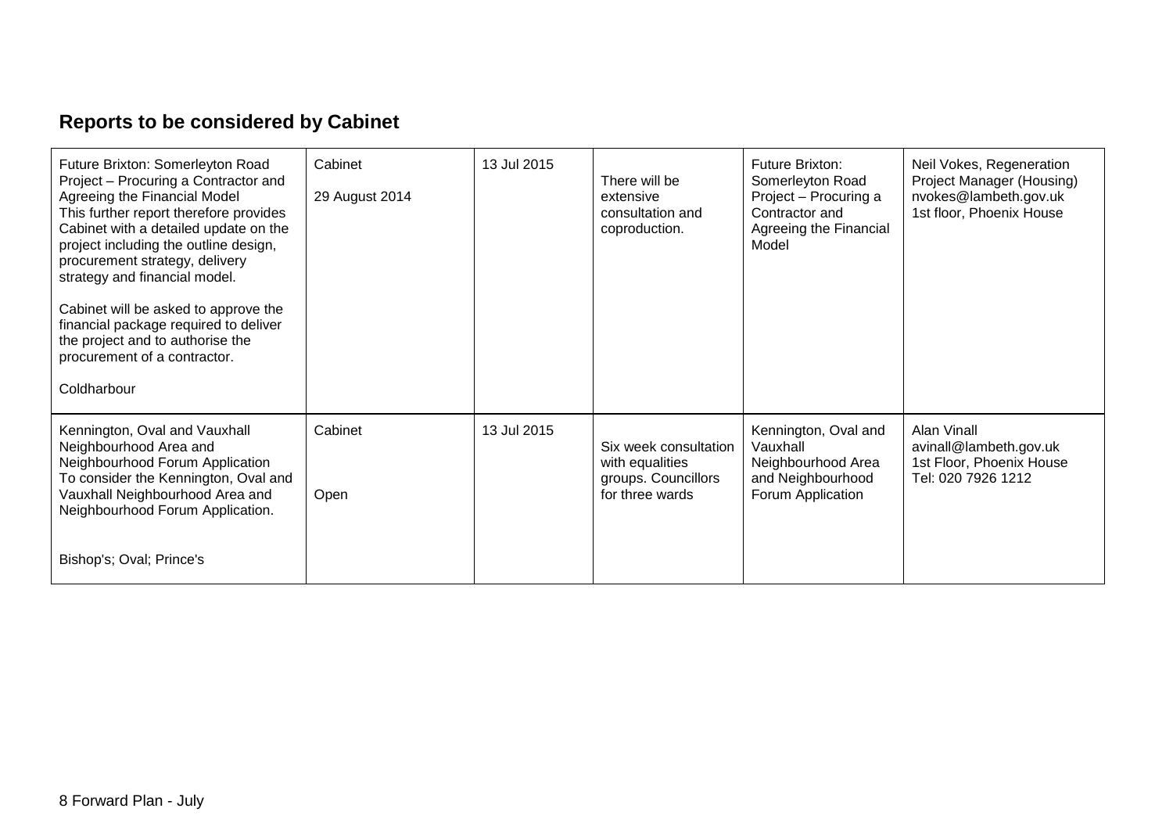# **Reports to be considered by Cabinet**

| Future Brixton: Somerleyton Road<br>Project – Procuring a Contractor and<br>Agreeing the Financial Model<br>This further report therefore provides<br>Cabinet with a detailed update on the<br>project including the outline design,<br>procurement strategy, delivery<br>strategy and financial model.<br>Cabinet will be asked to approve the<br>financial package required to deliver<br>the project and to authorise the<br>procurement of a contractor.<br>Coldharbour | Cabinet<br>29 August 2014 | 13 Jul 2015 | There will be<br>extensive<br>consultation and<br>coproduction.                    | Future Brixton:<br>Somerleyton Road<br>Project - Procuring a<br>Contractor and<br>Agreeing the Financial<br>Model | Neil Vokes, Regeneration<br>Project Manager (Housing)<br>nvokes@lambeth.gov.uk<br>1st floor, Phoenix House |
|-----------------------------------------------------------------------------------------------------------------------------------------------------------------------------------------------------------------------------------------------------------------------------------------------------------------------------------------------------------------------------------------------------------------------------------------------------------------------------|---------------------------|-------------|------------------------------------------------------------------------------------|-------------------------------------------------------------------------------------------------------------------|------------------------------------------------------------------------------------------------------------|
| Kennington, Oval and Vauxhall<br>Neighbourhood Area and<br>Neighbourhood Forum Application<br>To consider the Kennington, Oval and<br>Vauxhall Neighbourhood Area and<br>Neighbourhood Forum Application.<br>Bishop's; Oval; Prince's                                                                                                                                                                                                                                       | Cabinet<br>Open           | 13 Jul 2015 | Six week consultation<br>with equalities<br>groups. Councillors<br>for three wards | Kennington, Oval and<br>Vauxhall<br>Neighbourhood Area<br>and Neighbourhood<br>Forum Application                  | Alan Vinall<br>avinall@lambeth.gov.uk<br>1st Floor, Phoenix House<br>Tel: 020 7926 1212                    |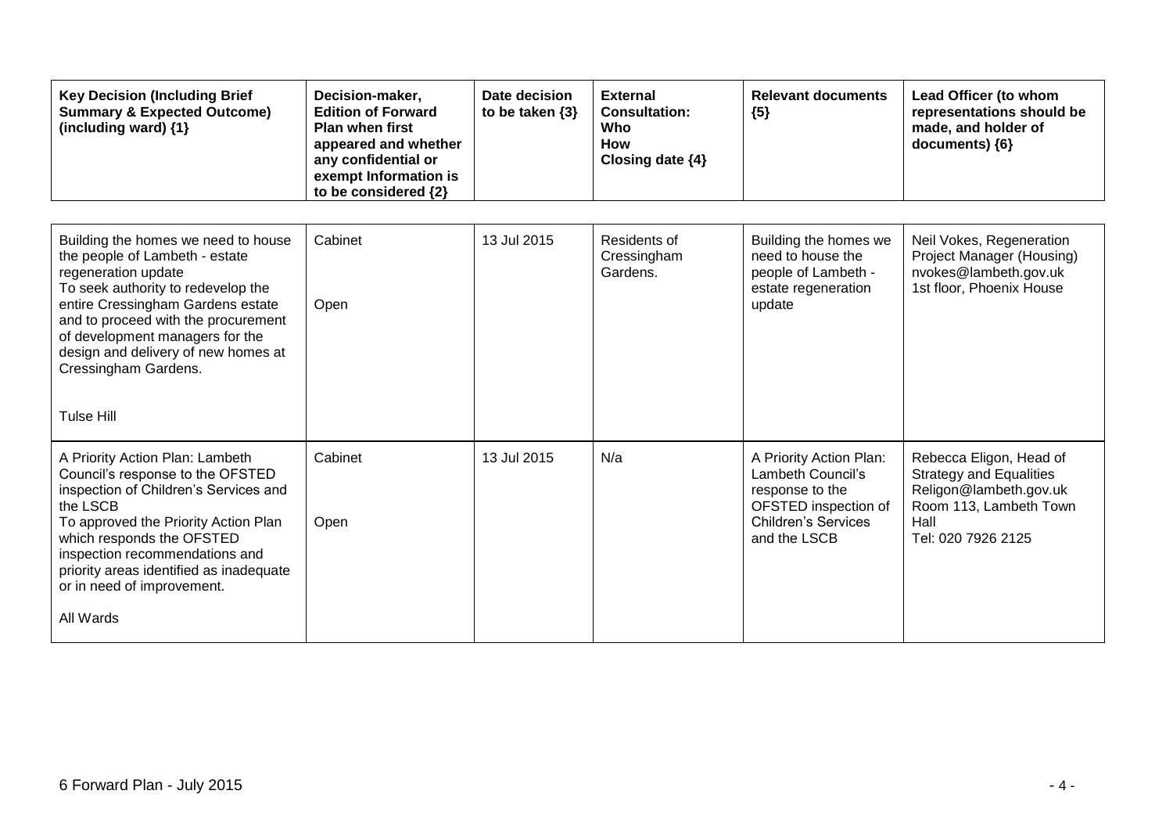| <b>Key Decision (Including Brief</b><br><b>Summary &amp; Expected Outcome)</b><br>(including ward) {1}                                                                                                                                                                                                                                | Decision-maker,<br><b>Edition of Forward</b><br><b>Plan when first</b><br>appeared and whether<br>any confidential or<br>exempt Information is<br>to be considered {2} | Date decision<br>to be taken $\{3\}$ | <b>External</b><br><b>Consultation:</b><br>Who<br><b>How</b><br>Closing date {4} | <b>Relevant documents</b><br>${5}$                                                                                                    | Lead Officer (to whom<br>representations should be<br>made, and holder of<br>documents) {6}                                                 |
|---------------------------------------------------------------------------------------------------------------------------------------------------------------------------------------------------------------------------------------------------------------------------------------------------------------------------------------|------------------------------------------------------------------------------------------------------------------------------------------------------------------------|--------------------------------------|----------------------------------------------------------------------------------|---------------------------------------------------------------------------------------------------------------------------------------|---------------------------------------------------------------------------------------------------------------------------------------------|
| Building the homes we need to house<br>the people of Lambeth - estate<br>regeneration update<br>To seek authority to redevelop the<br>entire Cressingham Gardens estate<br>and to proceed with the procurement<br>of development managers for the<br>design and delivery of new homes at<br>Cressingham Gardens.<br><b>Tulse Hill</b> | Cabinet<br>Open                                                                                                                                                        | 13 Jul 2015                          | Residents of<br>Cressingham<br>Gardens.                                          | Building the homes we<br>need to house the<br>people of Lambeth -<br>estate regeneration<br>update                                    | Neil Vokes, Regeneration<br>Project Manager (Housing)<br>nvokes@lambeth.gov.uk<br>1st floor, Phoenix House                                  |
| A Priority Action Plan: Lambeth<br>Council's response to the OFSTED<br>inspection of Children's Services and<br>the LSCB<br>To approved the Priority Action Plan<br>which responds the OFSTED<br>inspection recommendations and<br>priority areas identified as inadequate<br>or in need of improvement.<br>All Wards                 | Cabinet<br>Open                                                                                                                                                        | 13 Jul 2015                          | N/a                                                                              | A Priority Action Plan:<br>Lambeth Council's<br>response to the<br>OFSTED inspection of<br><b>Children's Services</b><br>and the LSCB | Rebecca Eligon, Head of<br><b>Strategy and Equalities</b><br>Religon@lambeth.gov.uk<br>Room 113, Lambeth Town<br>Hall<br>Tel: 020 7926 2125 |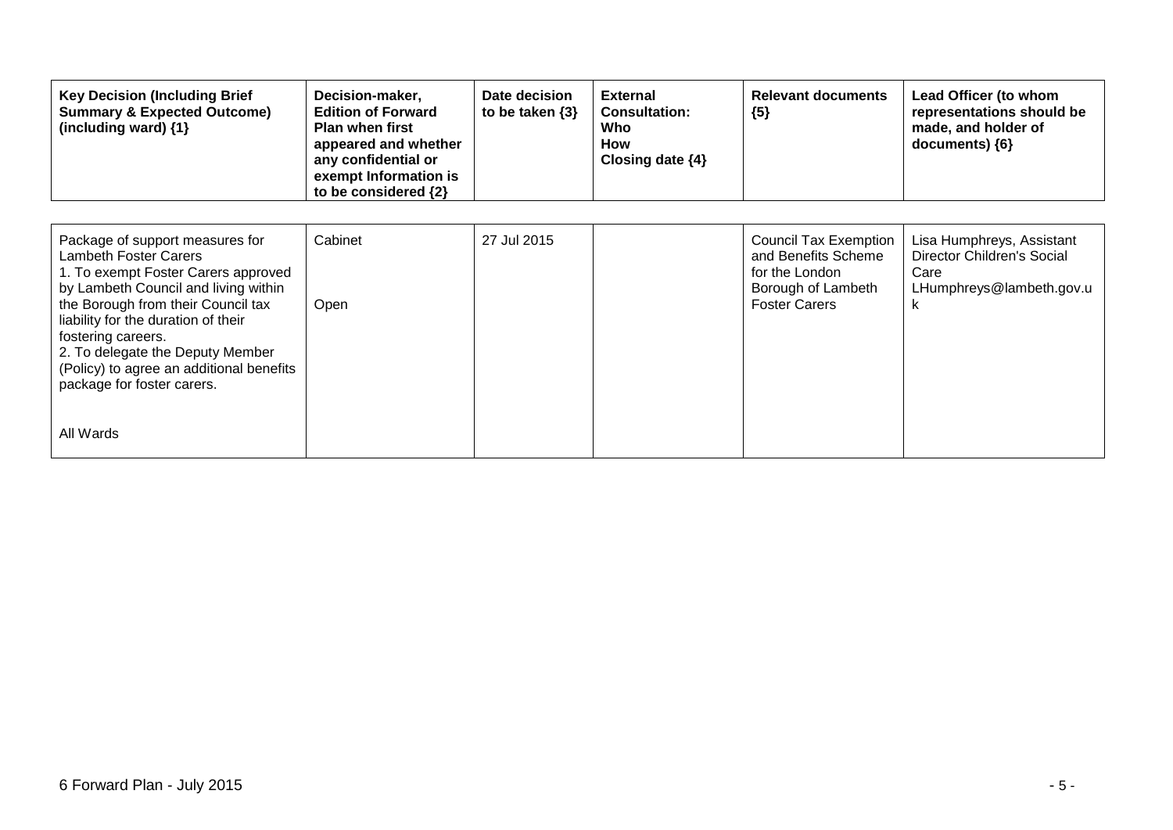| <b>Key Decision (Including Brief</b><br><b>Summary &amp; Expected Outcome)</b><br>(including ward) {1}                                                                                                                                                                                                                                                          | Decision-maker,<br><b>Edition of Forward</b><br><b>Plan when first</b><br>appeared and whether<br>any confidential or<br>exempt Information is<br>to be considered {2} | Date decision<br>to be taken $\{3\}$ | <b>External</b><br><b>Consultation:</b><br>Who<br><b>How</b><br>Closing date $\{4\}$ | <b>Relevant documents</b><br>${5}$                                                                                  | Lead Officer (to whom<br>representations should be<br>made, and holder of<br>documents) ${6}$ |
|-----------------------------------------------------------------------------------------------------------------------------------------------------------------------------------------------------------------------------------------------------------------------------------------------------------------------------------------------------------------|------------------------------------------------------------------------------------------------------------------------------------------------------------------------|--------------------------------------|--------------------------------------------------------------------------------------|---------------------------------------------------------------------------------------------------------------------|-----------------------------------------------------------------------------------------------|
| Package of support measures for<br><b>Lambeth Foster Carers</b><br>1. To exempt Foster Carers approved<br>by Lambeth Council and living within<br>the Borough from their Council tax<br>liability for the duration of their<br>fostering careers.<br>2. To delegate the Deputy Member<br>(Policy) to agree an additional benefits<br>package for foster carers. | Cabinet<br>Open                                                                                                                                                        | 27 Jul 2015                          |                                                                                      | <b>Council Tax Exemption</b><br>and Benefits Scheme<br>for the London<br>Borough of Lambeth<br><b>Foster Carers</b> | Lisa Humphreys, Assistant<br>Director Children's Social<br>Care<br>LHumphreys@lambeth.gov.u   |
| All Wards                                                                                                                                                                                                                                                                                                                                                       |                                                                                                                                                                        |                                      |                                                                                      |                                                                                                                     |                                                                                               |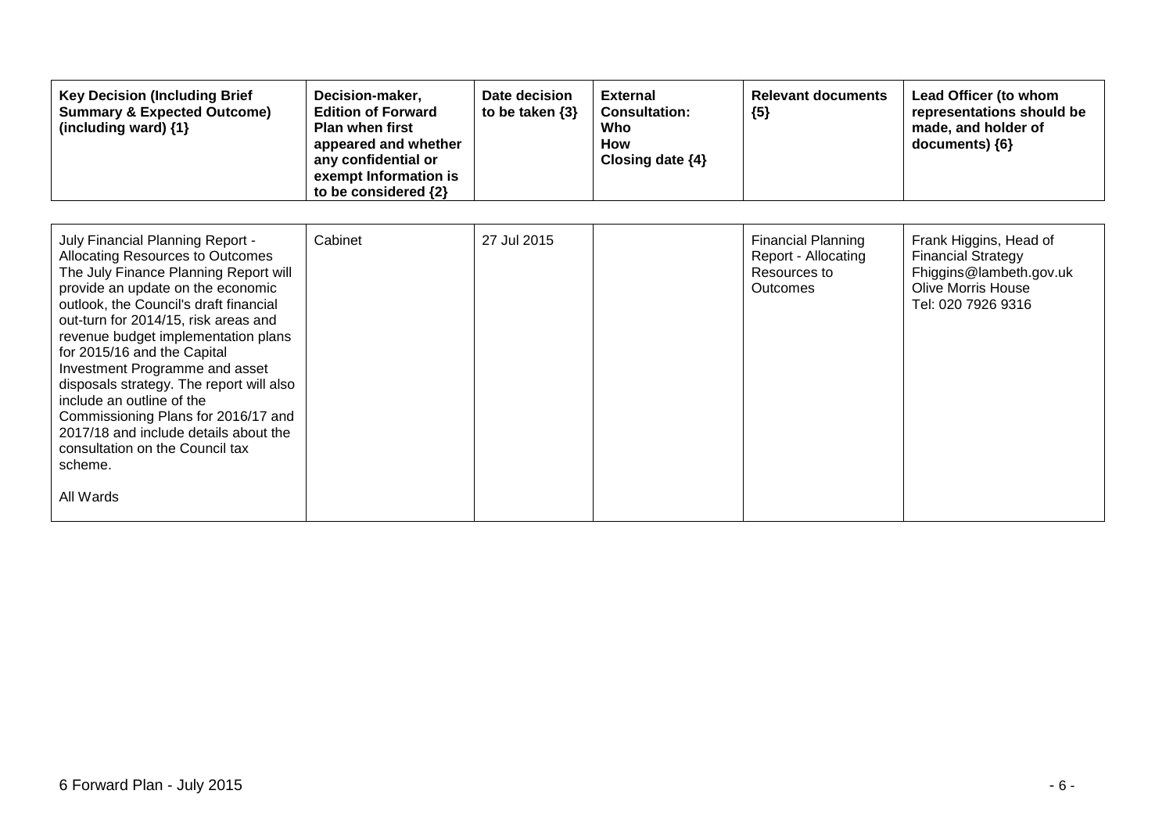| <b>Key Decision (Including Brief</b><br><b>Summary &amp; Expected Outcome)</b><br>(including ward) {1}                                                                                                                                                                                                                                                                                                                                                                                                                                              | Decision-maker,<br><b>Edition of Forward</b><br><b>Plan when first</b><br>appeared and whether<br>any confidential or<br>exempt Information is<br>to be considered {2} | Date decision<br>to be taken $\{3\}$ | <b>External</b><br><b>Consultation:</b><br>Who<br><b>How</b><br>Closing date $\{4\}$ | <b>Relevant documents</b><br>${5}$                                           | Lead Officer (to whom<br>representations should be<br>made, and holder of<br>documents) ${6}$                              |
|-----------------------------------------------------------------------------------------------------------------------------------------------------------------------------------------------------------------------------------------------------------------------------------------------------------------------------------------------------------------------------------------------------------------------------------------------------------------------------------------------------------------------------------------------------|------------------------------------------------------------------------------------------------------------------------------------------------------------------------|--------------------------------------|--------------------------------------------------------------------------------------|------------------------------------------------------------------------------|----------------------------------------------------------------------------------------------------------------------------|
| July Financial Planning Report -<br>Allocating Resources to Outcomes<br>The July Finance Planning Report will<br>provide an update on the economic<br>outlook, the Council's draft financial<br>out-turn for 2014/15, risk areas and<br>revenue budget implementation plans<br>for 2015/16 and the Capital<br>Investment Programme and asset<br>disposals strategy. The report will also<br>include an outline of the<br>Commissioning Plans for 2016/17 and<br>2017/18 and include details about the<br>consultation on the Council tax<br>scheme. | Cabinet                                                                                                                                                                | 27 Jul 2015                          |                                                                                      | <b>Financial Planning</b><br>Report - Allocating<br>Resources to<br>Outcomes | Frank Higgins, Head of<br><b>Financial Strategy</b><br>Fhiggins@lambeth.gov.uk<br>Olive Morris House<br>Tel: 020 7926 9316 |
| All Wards                                                                                                                                                                                                                                                                                                                                                                                                                                                                                                                                           |                                                                                                                                                                        |                                      |                                                                                      |                                                                              |                                                                                                                            |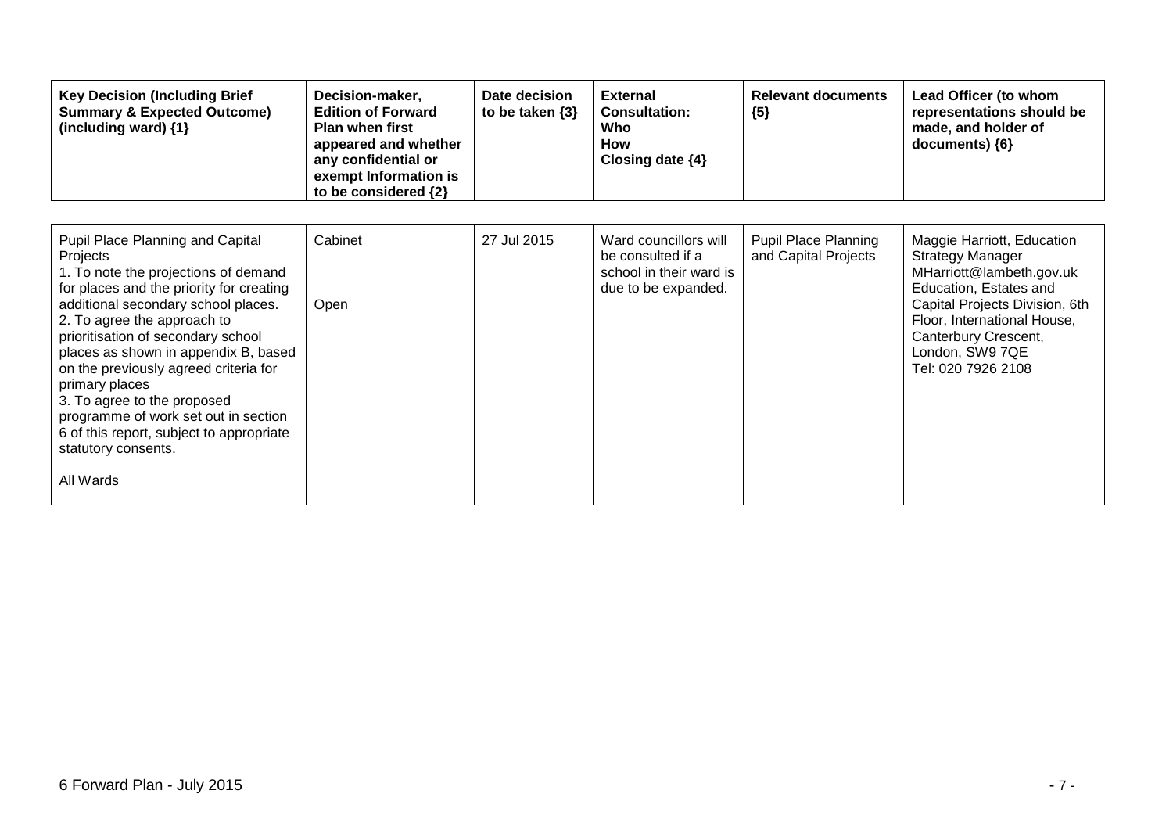| <b>Key Decision (Including Brief</b><br><b>Summary &amp; Expected Outcome)</b><br>(including ward) $\{1\}$                                                                                                                                                                                                                                                                                                                                                                                             | Decision-maker,<br><b>Edition of Forward</b><br><b>Plan when first</b><br>appeared and whether<br>any confidential or<br>exempt Information is<br>to be considered {2} | Date decision<br>to be taken $\{3\}$ | <b>External</b><br><b>Consultation:</b><br>Who<br><b>How</b><br>Closing date $\{4\}$         | <b>Relevant documents</b><br>${5}$                  | Lead Officer (to whom<br>representations should be<br>made, and holder of<br>documents) ${6}$                                                                                                                                                 |
|--------------------------------------------------------------------------------------------------------------------------------------------------------------------------------------------------------------------------------------------------------------------------------------------------------------------------------------------------------------------------------------------------------------------------------------------------------------------------------------------------------|------------------------------------------------------------------------------------------------------------------------------------------------------------------------|--------------------------------------|----------------------------------------------------------------------------------------------|-----------------------------------------------------|-----------------------------------------------------------------------------------------------------------------------------------------------------------------------------------------------------------------------------------------------|
| Pupil Place Planning and Capital<br>Projects<br>1. To note the projections of demand<br>for places and the priority for creating<br>additional secondary school places.<br>2. To agree the approach to<br>prioritisation of secondary school<br>places as shown in appendix B, based<br>on the previously agreed criteria for<br>primary places<br>3. To agree to the proposed<br>programme of work set out in section<br>6 of this report, subject to appropriate<br>statutory consents.<br>All Wards | Cabinet<br>Open                                                                                                                                                        | 27 Jul 2015                          | Ward councillors will<br>be consulted if a<br>school in their ward is<br>due to be expanded. | <b>Pupil Place Planning</b><br>and Capital Projects | Maggie Harriott, Education<br><b>Strategy Manager</b><br>MHarriott@lambeth.gov.uk<br>Education, Estates and<br>Capital Projects Division, 6th<br>Floor, International House,<br>Canterbury Crescent,<br>London, SW9 7QE<br>Tel: 020 7926 2108 |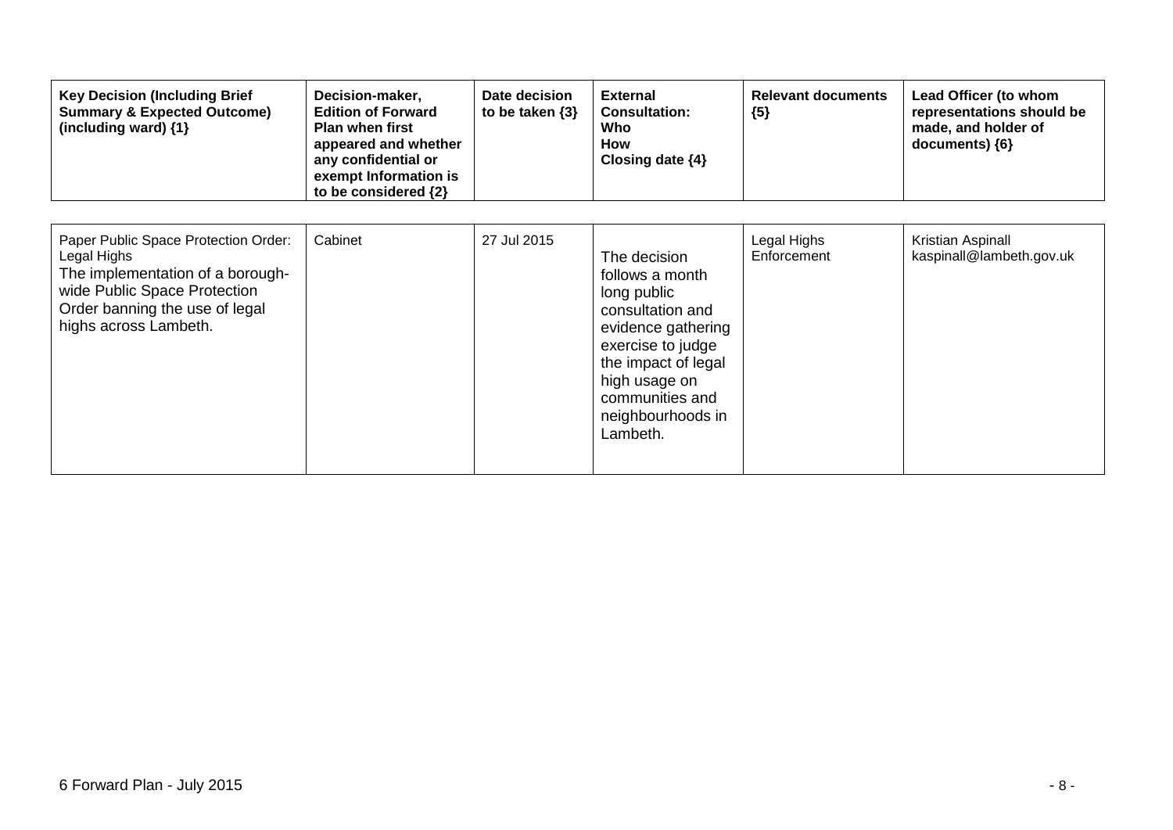| <b>Key Decision (Including Brief</b><br><b>Summary &amp; Expected Outcome)</b><br>(including ward) {1}                                                                             | Decision-maker,<br><b>Edition of Forward</b><br><b>Plan when first</b><br>appeared and whether<br>any confidential or<br>exempt Information is<br>to be considered {2} | Date decision<br>to be taken $\{3\}$ | <b>External</b><br><b>Consultation:</b><br>Who<br><b>How</b><br>Closing date $\{4\}$                                                                                                                      | <b>Relevant documents</b><br>${5}$ | Lead Officer (to whom<br>representations should be<br>made, and holder of<br>documents) {6} |
|------------------------------------------------------------------------------------------------------------------------------------------------------------------------------------|------------------------------------------------------------------------------------------------------------------------------------------------------------------------|--------------------------------------|-----------------------------------------------------------------------------------------------------------------------------------------------------------------------------------------------------------|------------------------------------|---------------------------------------------------------------------------------------------|
| Paper Public Space Protection Order:<br>Legal Highs<br>The implementation of a borough-<br>wide Public Space Protection<br>Order banning the use of legal<br>highs across Lambeth. | Cabinet                                                                                                                                                                | 27 Jul 2015                          | The decision<br>follows a month<br>long public<br>consultation and<br>evidence gathering<br>exercise to judge<br>the impact of legal<br>high usage on<br>communities and<br>neighbourhoods in<br>Lambeth. | Legal Highs<br>Enforcement         | Kristian Aspinall<br>kaspinall@lambeth.gov.uk                                               |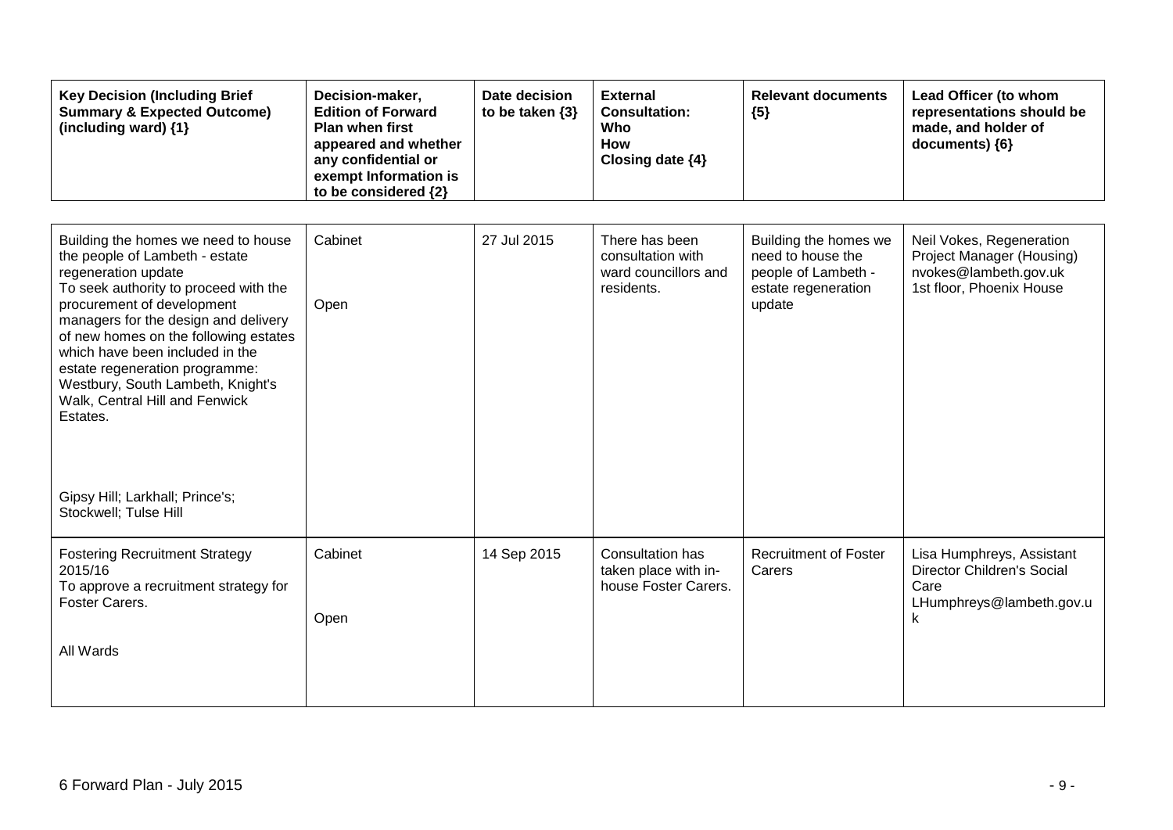| <b>Key Decision (Including Brief</b><br><b>Summary &amp; Expected Outcome)</b><br>(including ward) {1}                                                                                                                                                                                                                                                                                                                                          | Decision-maker,<br><b>Edition of Forward</b><br><b>Plan when first</b><br>appeared and whether<br>any confidential or<br>exempt Information is<br>to be considered {2} | Date decision<br>to be taken $\{3\}$ | <b>External</b><br><b>Consultation:</b><br>Who<br>How<br>Closing date {4} | <b>Relevant documents</b><br>${5}$                                                                 | Lead Officer (to whom<br>representations should be<br>made, and holder of<br>documents) {6}                |
|-------------------------------------------------------------------------------------------------------------------------------------------------------------------------------------------------------------------------------------------------------------------------------------------------------------------------------------------------------------------------------------------------------------------------------------------------|------------------------------------------------------------------------------------------------------------------------------------------------------------------------|--------------------------------------|---------------------------------------------------------------------------|----------------------------------------------------------------------------------------------------|------------------------------------------------------------------------------------------------------------|
| Building the homes we need to house<br>the people of Lambeth - estate<br>regeneration update<br>To seek authority to proceed with the<br>procurement of development<br>managers for the design and delivery<br>of new homes on the following estates<br>which have been included in the<br>estate regeneration programme:<br>Westbury, South Lambeth, Knight's<br>Walk, Central Hill and Fenwick<br>Estates.<br>Gipsy Hill; Larkhall; Prince's; | Cabinet<br>Open                                                                                                                                                        | 27 Jul 2015                          | There has been<br>consultation with<br>ward councillors and<br>residents. | Building the homes we<br>need to house the<br>people of Lambeth -<br>estate regeneration<br>update | Neil Vokes, Regeneration<br>Project Manager (Housing)<br>nvokes@lambeth.gov.uk<br>1st floor, Phoenix House |
| Stockwell; Tulse Hill<br><b>Fostering Recruitment Strategy</b><br>2015/16<br>To approve a recruitment strategy for<br>Foster Carers.<br>All Wards                                                                                                                                                                                                                                                                                               | Cabinet<br>Open                                                                                                                                                        | 14 Sep 2015                          | Consultation has<br>taken place with in-<br>house Foster Carers.          | <b>Recruitment of Foster</b><br>Carers                                                             | Lisa Humphreys, Assistant<br>Director Children's Social<br>Care<br>LHumphreys@lambeth.gov.u<br>k           |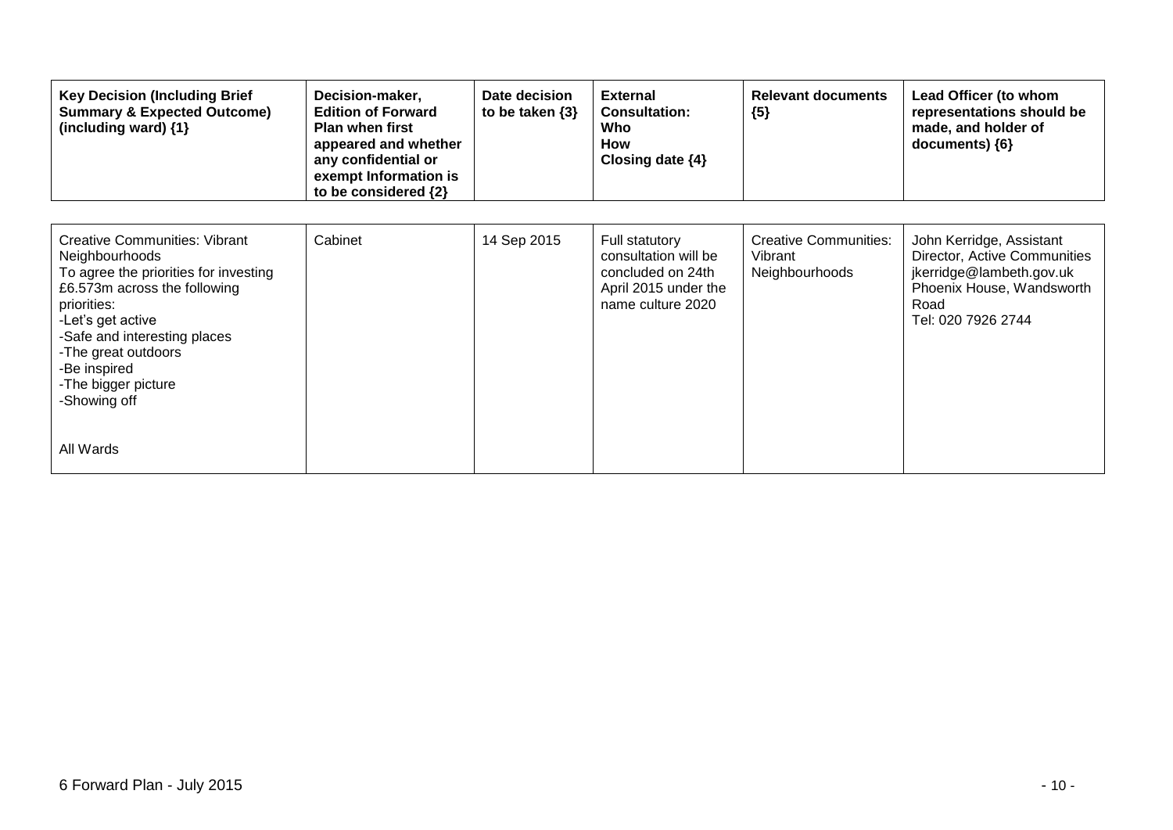| appeared and whether<br>any confidential or<br>exempt Information is<br>to be considered {2} |             | How<br>Closing date $\{4\}$                                                                              |                                                           | made, and holder of<br>documents) {6}                                                                                                           |
|----------------------------------------------------------------------------------------------|-------------|----------------------------------------------------------------------------------------------------------|-----------------------------------------------------------|-------------------------------------------------------------------------------------------------------------------------------------------------|
| Cabinet                                                                                      | 14 Sep 2015 | Full statutory<br>consultation will be<br>concluded on 24th<br>April 2015 under the<br>name culture 2020 | <b>Creative Communities:</b><br>Vibrant<br>Neighbourhoods | John Kerridge, Assistant<br>Director, Active Communities<br>jkerridge@lambeth.gov.uk<br>Phoenix House, Wandsworth<br>Road<br>Tel: 020 7926 2744 |
|                                                                                              |             |                                                                                                          |                                                           | <b>Plan when first</b><br>Who                                                                                                                   |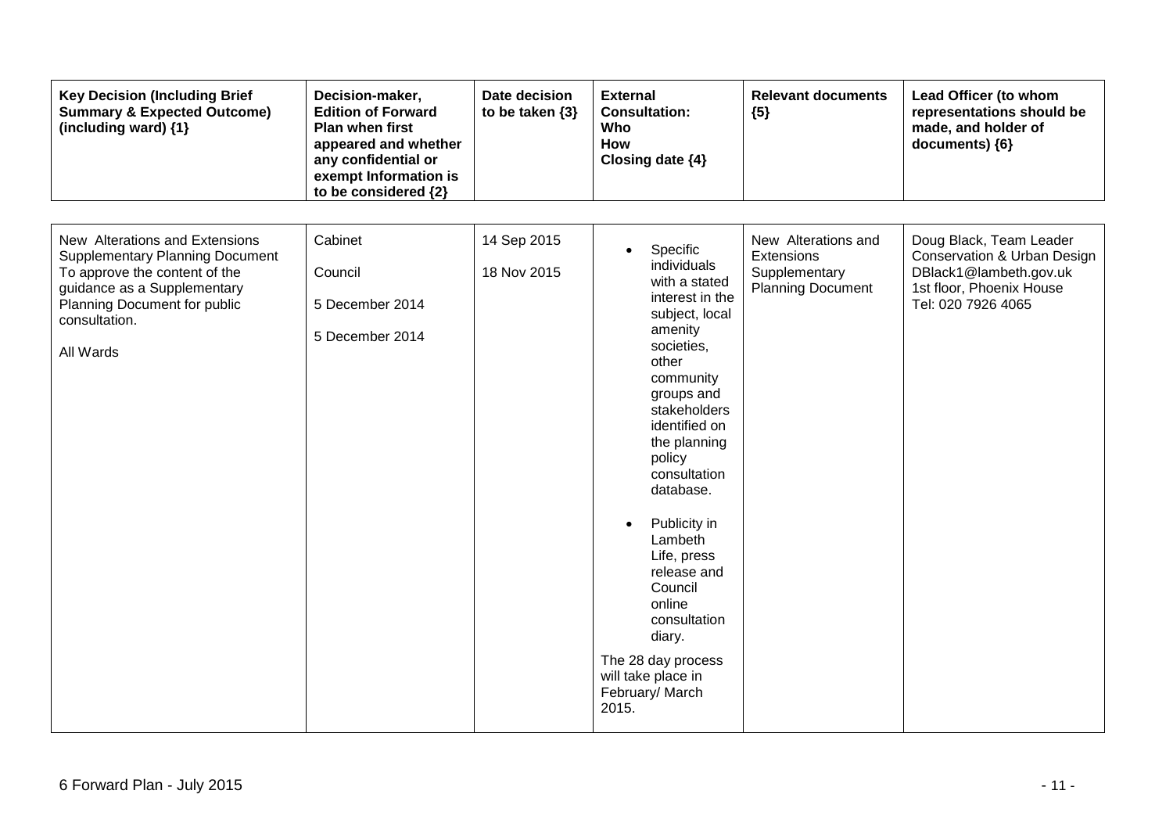| <b>Key Decision (Including Brief</b><br><b>Summary &amp; Expected Outcome)</b><br>(including ward) {1}                                                                                                 | Decision-maker,<br><b>Edition of Forward</b><br><b>Plan when first</b><br>appeared and whether<br>any confidential or<br>exempt Information is<br>to be considered {2} | Date decision<br>to be taken {3} | <b>External</b><br><b>Consultation:</b><br>Who<br>How<br>Closing date {4}                                                                                                                                                                                                                                                                                                                                                       | <b>Relevant documents</b><br>${5}$                                             | Lead Officer (to whom<br>representations should be<br>made, and holder of<br>documents) {6}                                        |
|--------------------------------------------------------------------------------------------------------------------------------------------------------------------------------------------------------|------------------------------------------------------------------------------------------------------------------------------------------------------------------------|----------------------------------|---------------------------------------------------------------------------------------------------------------------------------------------------------------------------------------------------------------------------------------------------------------------------------------------------------------------------------------------------------------------------------------------------------------------------------|--------------------------------------------------------------------------------|------------------------------------------------------------------------------------------------------------------------------------|
| New Alterations and Extensions<br><b>Supplementary Planning Document</b><br>To approve the content of the<br>guidance as a Supplementary<br>Planning Document for public<br>consultation.<br>All Wards | Cabinet<br>Council<br>5 December 2014<br>5 December 2014                                                                                                               | 14 Sep 2015<br>18 Nov 2015       | Specific<br>$\bullet$<br>individuals<br>with a stated<br>interest in the<br>subject, local<br>amenity<br>societies,<br>other<br>community<br>groups and<br>stakeholders<br>identified on<br>the planning<br>policy<br>consultation<br>database.<br>Publicity in<br>Lambeth<br>Life, press<br>release and<br>Council<br>online<br>consultation<br>diary.<br>The 28 day process<br>will take place in<br>February/ March<br>2015. | New Alterations and<br>Extensions<br>Supplementary<br><b>Planning Document</b> | Doug Black, Team Leader<br>Conservation & Urban Design<br>DBlack1@lambeth.gov.uk<br>1st floor, Phoenix House<br>Tel: 020 7926 4065 |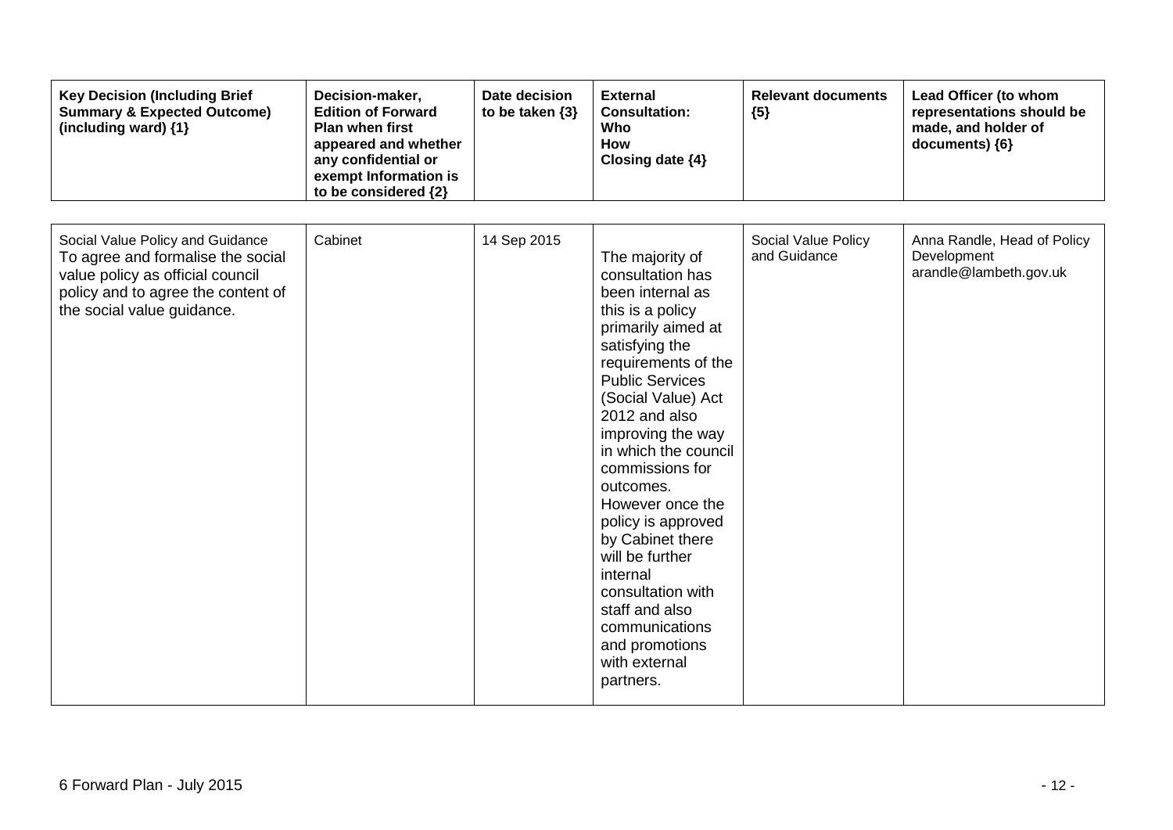| <b>Key Decision (Including Brief</b><br><b>Summary &amp; Expected Outcome)</b><br>(including ward) {1}                                                                        | Decision-maker,<br><b>Edition of Forward</b><br><b>Plan when first</b><br>appeared and whether<br>any confidential or<br>exempt Information is<br>to be considered {2} | Date decision<br>to be taken $\{3\}$ | <b>External</b><br><b>Consultation:</b><br>Who<br><b>How</b><br>Closing date {4}                                                                                                                                                                                                                                                                                                                                                                                                               | <b>Relevant documents</b><br>${5}$  | Lead Officer (to whom<br>representations should be<br>made, and holder of<br>documents) {6} |
|-------------------------------------------------------------------------------------------------------------------------------------------------------------------------------|------------------------------------------------------------------------------------------------------------------------------------------------------------------------|--------------------------------------|------------------------------------------------------------------------------------------------------------------------------------------------------------------------------------------------------------------------------------------------------------------------------------------------------------------------------------------------------------------------------------------------------------------------------------------------------------------------------------------------|-------------------------------------|---------------------------------------------------------------------------------------------|
| Social Value Policy and Guidance<br>To agree and formalise the social<br>value policy as official council<br>policy and to agree the content of<br>the social value guidance. | Cabinet                                                                                                                                                                | 14 Sep 2015                          | The majority of<br>consultation has<br>been internal as<br>this is a policy<br>primarily aimed at<br>satisfying the<br>requirements of the<br><b>Public Services</b><br>(Social Value) Act<br>2012 and also<br>improving the way<br>in which the council<br>commissions for<br>outcomes.<br>However once the<br>policy is approved<br>by Cabinet there<br>will be further<br>internal<br>consultation with<br>staff and also<br>communications<br>and promotions<br>with external<br>partners. | Social Value Policy<br>and Guidance | Anna Randle, Head of Policy<br>Development<br>arandle@lambeth.gov.uk                        |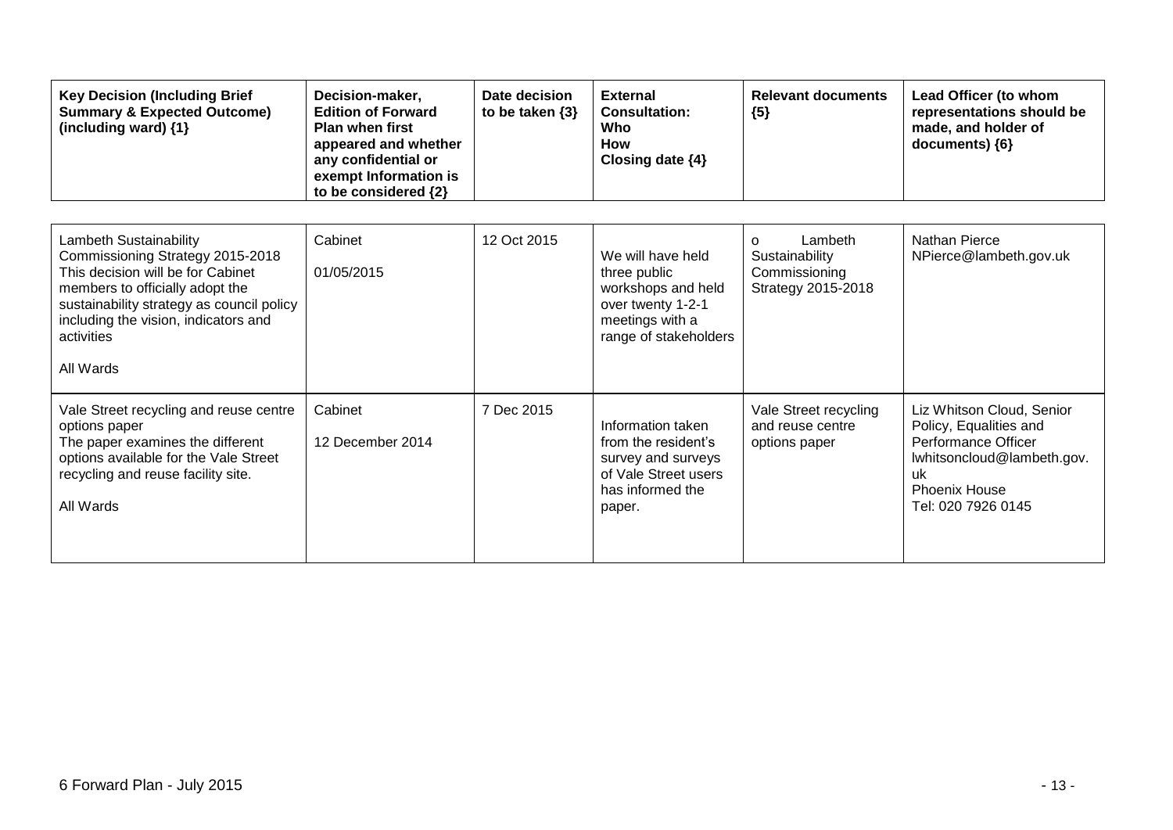| <b>Key Decision (Including Brief</b><br><b>Summary &amp; Expected Outcome)</b><br>(including ward) {1}                                                                                                                                             | Decision-maker,<br><b>Edition of Forward</b><br><b>Plan when first</b><br>appeared and whether<br>any confidential or<br>exempt Information is<br>to be considered {2} | Date decision<br>to be taken $\{3\}$ | <b>External</b><br><b>Consultation:</b><br>Who<br><b>How</b><br>Closing date $\{4\}$                                     | <b>Relevant documents</b><br>${5}$                                           | Lead Officer (to whom<br>representations should be<br>made, and holder of<br>documents) {6}                                                                   |
|----------------------------------------------------------------------------------------------------------------------------------------------------------------------------------------------------------------------------------------------------|------------------------------------------------------------------------------------------------------------------------------------------------------------------------|--------------------------------------|--------------------------------------------------------------------------------------------------------------------------|------------------------------------------------------------------------------|---------------------------------------------------------------------------------------------------------------------------------------------------------------|
| Lambeth Sustainability<br>Commissioning Strategy 2015-2018<br>This decision will be for Cabinet<br>members to officially adopt the<br>sustainability strategy as council policy<br>including the vision, indicators and<br>activities<br>All Wards | Cabinet<br>01/05/2015                                                                                                                                                  | 12 Oct 2015                          | We will have held<br>three public<br>workshops and held<br>over twenty 1-2-1<br>meetings with a<br>range of stakeholders | Lambeth<br>$\Omega$<br>Sustainability<br>Commissioning<br>Strategy 2015-2018 | <b>Nathan Pierce</b><br>NPierce@lambeth.gov.uk                                                                                                                |
| Vale Street recycling and reuse centre<br>options paper<br>The paper examines the different<br>options available for the Vale Street<br>recycling and reuse facility site.<br>All Wards                                                            | Cabinet<br>12 December 2014                                                                                                                                            | 7 Dec 2015                           | Information taken<br>from the resident's<br>survey and surveys<br>of Vale Street users<br>has informed the<br>paper.     | Vale Street recycling<br>and reuse centre<br>options paper                   | Liz Whitson Cloud, Senior<br>Policy, Equalities and<br>Performance Officer<br>lwhitsoncloud@lambeth.gov.<br>uk.<br><b>Phoenix House</b><br>Tel: 020 7926 0145 |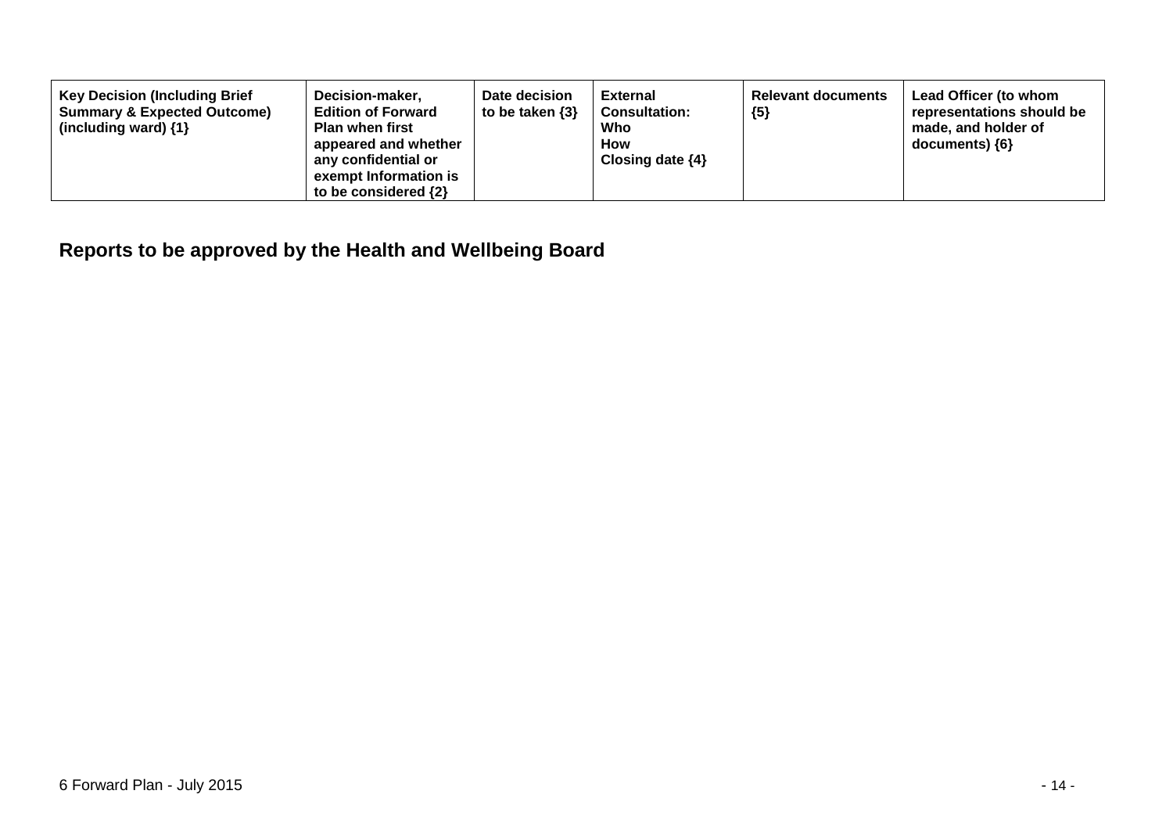| <b>Key Decision (Including Brief</b><br>Decision-maker,<br><b>Summary &amp; Expected Outcome)</b><br><b>Plan when first</b><br>(including ward) $\{1\}$ | Date decision<br>to be taken $\{3\}$<br><b>Edition of Forward</b><br>appeared and whether<br>any confidential or<br>exempt Information is<br>to be considered $\{2\}$ | External<br><b>Consultation:</b><br>Who<br><b>How</b><br>Closing date $\{4\}$ | <b>Relevant documents</b><br>${5}$ | Lead Officer (to whom<br>representations should be<br>made, and holder of<br>$documents)$ {6} |
|---------------------------------------------------------------------------------------------------------------------------------------------------------|-----------------------------------------------------------------------------------------------------------------------------------------------------------------------|-------------------------------------------------------------------------------|------------------------------------|-----------------------------------------------------------------------------------------------|
|---------------------------------------------------------------------------------------------------------------------------------------------------------|-----------------------------------------------------------------------------------------------------------------------------------------------------------------------|-------------------------------------------------------------------------------|------------------------------------|-----------------------------------------------------------------------------------------------|

## **Reports to be approved by the Health and Wellbeing Board**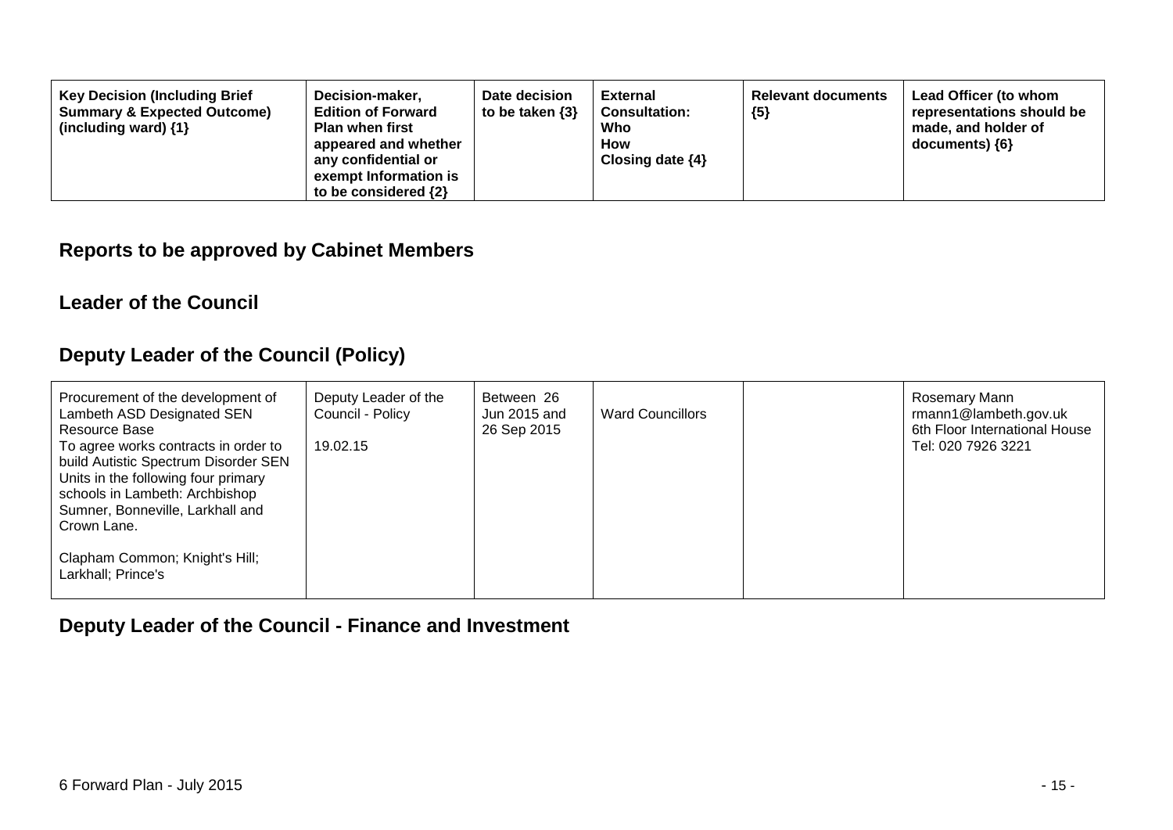| <b>Key Decision (Including Brief</b><br>Decision-maker,<br><b>Summary &amp; Expected Outcome)</b><br><b>Edition of Forward</b><br><b>Plan when first</b><br>(including ward) $\{1\}$<br>appeared and whether<br>any confidential or<br>exempt Information is<br>to be considered $\{2\}$ | Date decision<br>to be taken $\{3\}$ | <b>External</b><br><b>Consultation:</b><br>Who<br><b>How</b><br>Closing date $\{4\}$ | <b>Relevant documents</b><br>${5}$ | Lead Officer (to whom<br>representations should be<br>made, and holder of<br>documents) {6} |
|------------------------------------------------------------------------------------------------------------------------------------------------------------------------------------------------------------------------------------------------------------------------------------------|--------------------------------------|--------------------------------------------------------------------------------------|------------------------------------|---------------------------------------------------------------------------------------------|
|------------------------------------------------------------------------------------------------------------------------------------------------------------------------------------------------------------------------------------------------------------------------------------------|--------------------------------------|--------------------------------------------------------------------------------------|------------------------------------|---------------------------------------------------------------------------------------------|

## **Reports to be approved by Cabinet Members**

### **Leader of the Council**

## **Deputy Leader of the Council (Policy)**

| Procurement of the development of<br>Lambeth ASD Designated SEN<br>Resource Base | Deputy Leader of the<br>Council - Policy | Between 26<br>Jun 2015 and<br>26 Sep 2015 | <b>Ward Councillors</b> | Rosemary Mann<br>rmann1@lambeth.gov.uk<br>6th Floor International House |
|----------------------------------------------------------------------------------|------------------------------------------|-------------------------------------------|-------------------------|-------------------------------------------------------------------------|
| To agree works contracts in order to<br>build Autistic Spectrum Disorder SEN     | 19.02.15                                 |                                           |                         | Tel: 020 7926 3221                                                      |
| Units in the following four primary                                              |                                          |                                           |                         |                                                                         |
| schools in Lambeth: Archbishop                                                   |                                          |                                           |                         |                                                                         |
| Sumner, Bonneville, Larkhall and<br>Crown Lane.                                  |                                          |                                           |                         |                                                                         |
|                                                                                  |                                          |                                           |                         |                                                                         |
| Clapham Common; Knight's Hill;<br>Larkhall; Prince's                             |                                          |                                           |                         |                                                                         |

## **Deputy Leader of the Council - Finance and Investment**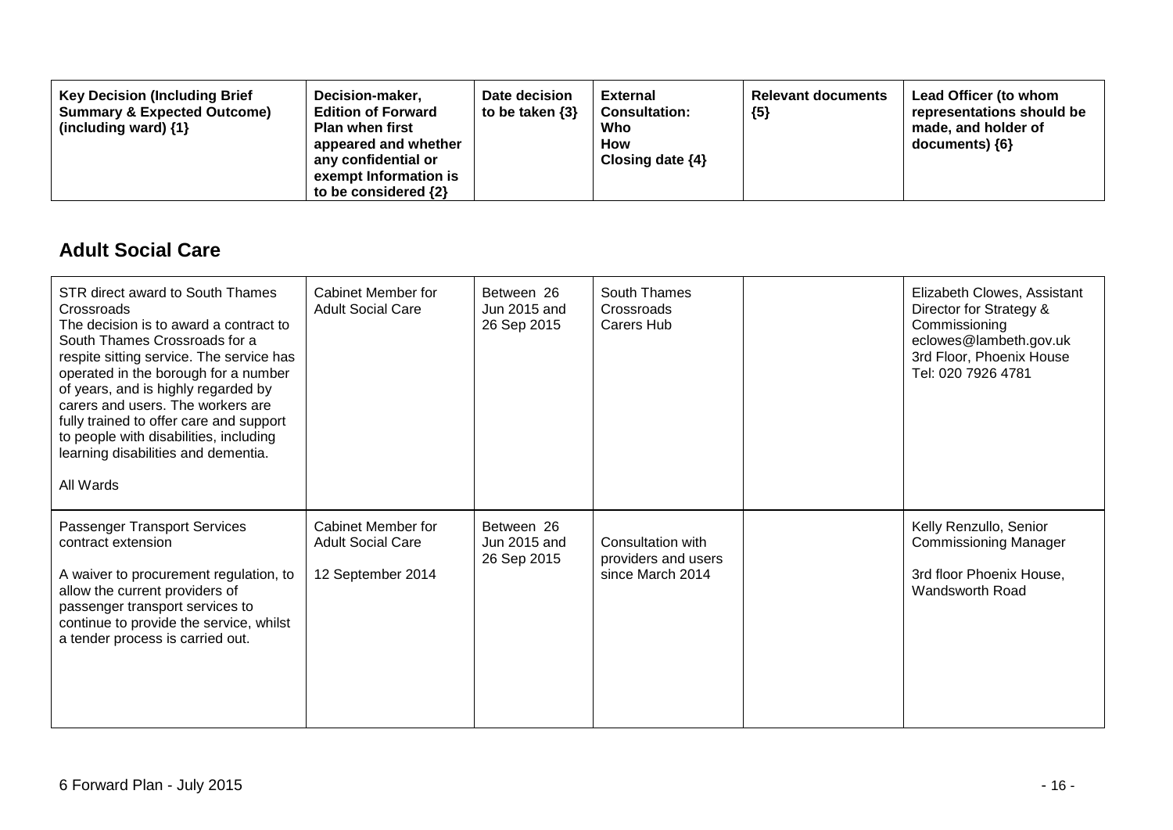| Decision-maker,<br><b>Key Decision (Including Brief</b><br><b>Summary &amp; Expected Outcome)</b><br><b>Edition of Forward</b><br><b>Plan when first</b><br>(including ward) $\{1\}$<br>appeared and whether<br>any confidential or<br>exempt Information is<br>to be considered $\{2\}$ | Date decision<br>to be taken $\{3\}$ | <b>External</b><br><b>Consultation:</b><br>Who<br>How<br>Closing date $\{4\}$ | <b>Relevant documents</b><br>${5}$ | Lead Officer (to whom<br>representations should be<br>made, and holder of<br>documents) ${6}$ |
|------------------------------------------------------------------------------------------------------------------------------------------------------------------------------------------------------------------------------------------------------------------------------------------|--------------------------------------|-------------------------------------------------------------------------------|------------------------------------|-----------------------------------------------------------------------------------------------|
|------------------------------------------------------------------------------------------------------------------------------------------------------------------------------------------------------------------------------------------------------------------------------------------|--------------------------------------|-------------------------------------------------------------------------------|------------------------------------|-----------------------------------------------------------------------------------------------|

## **Adult Social Care**

| STR direct award to South Thames<br>Crossroads<br>The decision is to award a contract to<br>South Thames Crossroads for a<br>respite sitting service. The service has<br>operated in the borough for a number<br>of years, and is highly regarded by<br>carers and users. The workers are<br>fully trained to offer care and support<br>to people with disabilities, including<br>learning disabilities and dementia.<br>All Wards | Cabinet Member for<br><b>Adult Social Care</b>                             | Between 26<br>Jun 2015 and<br>26 Sep 2015 | South Thames<br>Crossroads<br><b>Carers Hub</b>              | Elizabeth Clowes, Assistant<br>Director for Strategy &<br>Commissioning<br>eclowes@lambeth.gov.uk<br>3rd Floor, Phoenix House<br>Tel: 020 7926 4781 |
|------------------------------------------------------------------------------------------------------------------------------------------------------------------------------------------------------------------------------------------------------------------------------------------------------------------------------------------------------------------------------------------------------------------------------------|----------------------------------------------------------------------------|-------------------------------------------|--------------------------------------------------------------|-----------------------------------------------------------------------------------------------------------------------------------------------------|
| Passenger Transport Services<br>contract extension<br>A waiver to procurement regulation, to<br>allow the current providers of<br>passenger transport services to<br>continue to provide the service, whilst<br>a tender process is carried out.                                                                                                                                                                                   | <b>Cabinet Member for</b><br><b>Adult Social Care</b><br>12 September 2014 | Between 26<br>Jun 2015 and<br>26 Sep 2015 | Consultation with<br>providers and users<br>since March 2014 | Kelly Renzullo, Senior<br><b>Commissioning Manager</b><br>3rd floor Phoenix House,<br>Wandsworth Road                                               |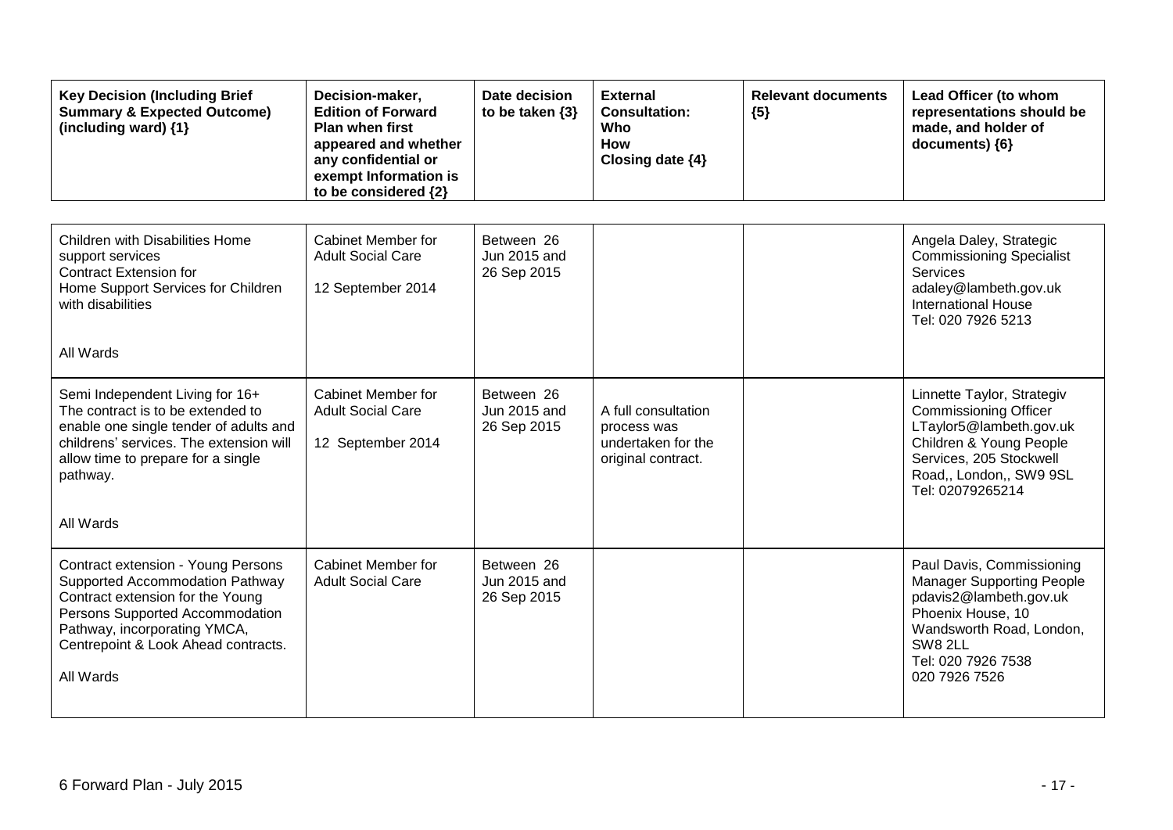| <b>Key Decision (Including Brief</b><br><b>Summary &amp; Expected Outcome)</b><br>(including ward) $\{1\}$                                                                                                                              | Decision-maker,<br><b>Edition of Forward</b><br><b>Plan when first</b><br>appeared and whether<br>any confidential or<br>exempt Information is<br>to be considered {2} | Date decision<br>to be taken $\{3\}$      | <b>External</b><br><b>Consultation:</b><br>Who<br>How<br>Closing date {4}      | <b>Relevant documents</b><br>${5}$ | Lead Officer (to whom<br>representations should be<br>made, and holder of<br>documents) {6}                                                                                                |
|-----------------------------------------------------------------------------------------------------------------------------------------------------------------------------------------------------------------------------------------|------------------------------------------------------------------------------------------------------------------------------------------------------------------------|-------------------------------------------|--------------------------------------------------------------------------------|------------------------------------|--------------------------------------------------------------------------------------------------------------------------------------------------------------------------------------------|
|                                                                                                                                                                                                                                         |                                                                                                                                                                        |                                           |                                                                                |                                    |                                                                                                                                                                                            |
| Children with Disabilities Home<br>support services<br><b>Contract Extension for</b><br>Home Support Services for Children<br>with disabilities                                                                                         | Cabinet Member for<br><b>Adult Social Care</b><br>12 September 2014                                                                                                    | Between 26<br>Jun 2015 and<br>26 Sep 2015 |                                                                                |                                    | Angela Daley, Strategic<br><b>Commissioning Specialist</b><br><b>Services</b><br>adaley@lambeth.gov.uk<br><b>International House</b><br>Tel: 020 7926 5213                                 |
| All Wards                                                                                                                                                                                                                               |                                                                                                                                                                        |                                           |                                                                                |                                    |                                                                                                                                                                                            |
| Semi Independent Living for 16+<br>The contract is to be extended to<br>enable one single tender of adults and<br>childrens' services. The extension will<br>allow time to prepare for a single<br>pathway.<br>All Wards                | Cabinet Member for<br><b>Adult Social Care</b><br>12 September 2014                                                                                                    | Between 26<br>Jun 2015 and<br>26 Sep 2015 | A full consultation<br>process was<br>undertaken for the<br>original contract. |                                    | Linnette Taylor, Strategiv<br><b>Commissioning Officer</b><br>LTaylor5@lambeth.gov.uk<br>Children & Young People<br>Services, 205 Stockwell<br>Road,, London,, SW9 9SL<br>Tel: 02079265214 |
| <b>Contract extension - Young Persons</b><br>Supported Accommodation Pathway<br>Contract extension for the Young<br>Persons Supported Accommodation<br>Pathway, incorporating YMCA,<br>Centrepoint & Look Ahead contracts.<br>All Wards | Cabinet Member for<br><b>Adult Social Care</b>                                                                                                                         | Between 26<br>Jun 2015 and<br>26 Sep 2015 |                                                                                |                                    | Paul Davis, Commissioning<br><b>Manager Supporting People</b><br>pdavis2@lambeth.gov.uk<br>Phoenix House, 10<br>Wandsworth Road, London,<br>SW8 2LL<br>Tel: 020 7926 7538<br>020 7926 7526 |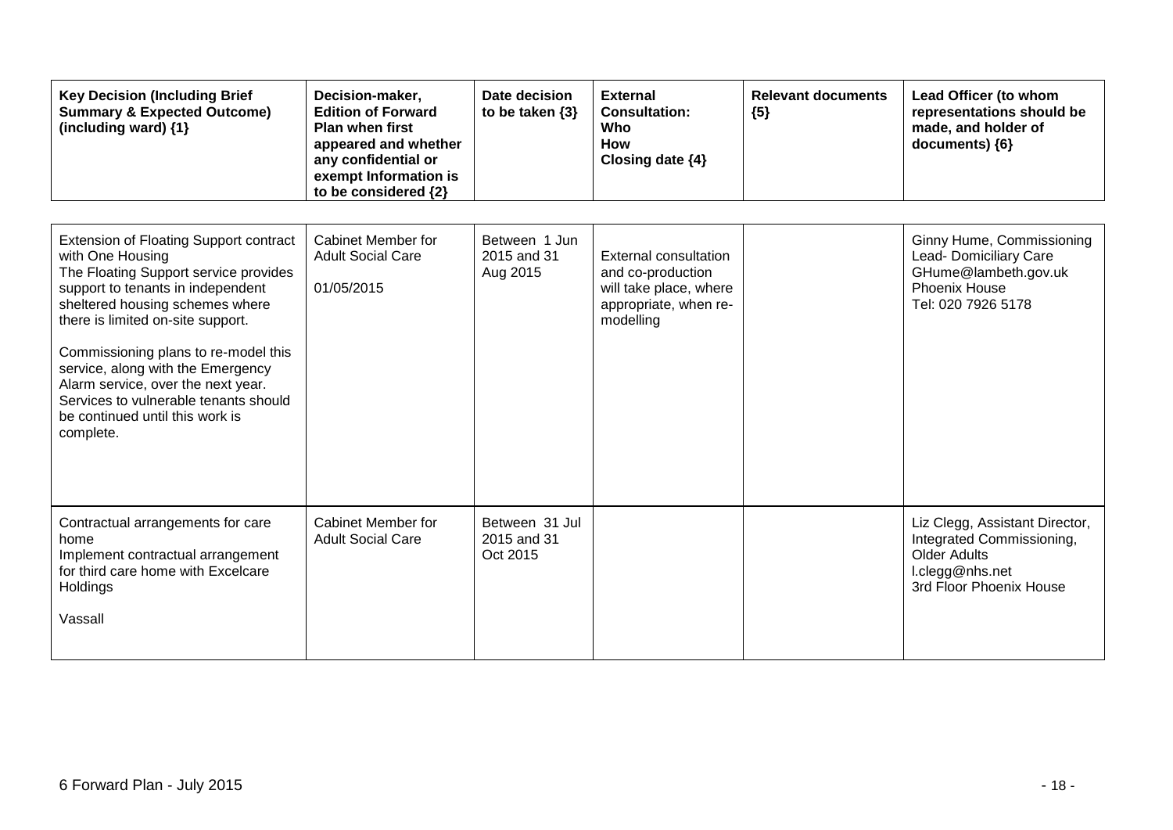| <b>Key Decision (Including Brief</b><br><b>Summary &amp; Expected Outcome)</b><br>(including ward) {1}                                                                                                                                                                                                                                                                                                                              | Decision-maker,<br><b>Edition of Forward</b><br><b>Plan when first</b><br>appeared and whether<br>any confidential or<br>exempt Information is<br>to be considered {2} | Date decision<br>to be taken $\{3\}$      | <b>External</b><br><b>Consultation:</b><br>Who<br><b>How</b><br>Closing date {4}                                  | <b>Relevant documents</b><br>${5}$ | Lead Officer (to whom<br>representations should be<br>made, and holder of<br>documents) {6}                                      |
|-------------------------------------------------------------------------------------------------------------------------------------------------------------------------------------------------------------------------------------------------------------------------------------------------------------------------------------------------------------------------------------------------------------------------------------|------------------------------------------------------------------------------------------------------------------------------------------------------------------------|-------------------------------------------|-------------------------------------------------------------------------------------------------------------------|------------------------------------|----------------------------------------------------------------------------------------------------------------------------------|
| <b>Extension of Floating Support contract</b><br>with One Housing<br>The Floating Support service provides<br>support to tenants in independent<br>sheltered housing schemes where<br>there is limited on-site support.<br>Commissioning plans to re-model this<br>service, along with the Emergency<br>Alarm service, over the next year.<br>Services to vulnerable tenants should<br>be continued until this work is<br>complete. | Cabinet Member for<br><b>Adult Social Care</b><br>01/05/2015                                                                                                           | Between 1 Jun<br>2015 and 31<br>Aug 2015  | <b>External consultation</b><br>and co-production<br>will take place, where<br>appropriate, when re-<br>modelling |                                    | Ginny Hume, Commissioning<br>Lead- Domiciliary Care<br>GHume@lambeth.gov.uk<br>Phoenix House<br>Tel: 020 7926 5178               |
| Contractual arrangements for care<br>home<br>Implement contractual arrangement<br>for third care home with Excelcare<br>Holdings<br>Vassall                                                                                                                                                                                                                                                                                         | Cabinet Member for<br><b>Adult Social Care</b>                                                                                                                         | Between 31 Jul<br>2015 and 31<br>Oct 2015 |                                                                                                                   |                                    | Liz Clegg, Assistant Director,<br>Integrated Commissioning,<br><b>Older Adults</b><br>I.clegg@nhs.net<br>3rd Floor Phoenix House |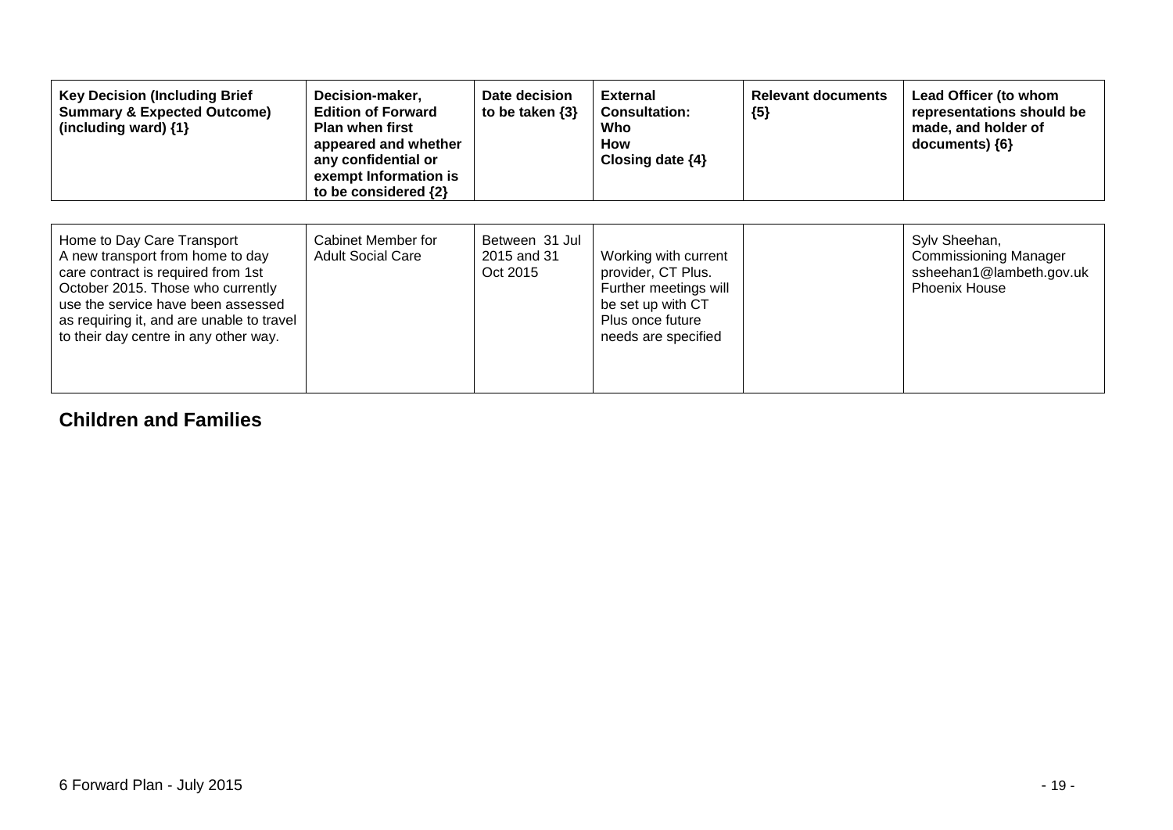| <b>Key Decision (Including Brief</b><br><b>Summary &amp; Expected Outcome)</b><br>(including ward) {1}                                                                                                                                                                | Decision-maker,<br><b>Edition of Forward</b><br><b>Plan when first</b><br>appeared and whether<br>any confidential or<br>exempt Information is<br>to be considered {2} | Date decision<br>to be taken $\{3\}$      | <b>External</b><br><b>Consultation:</b><br>Who<br>How<br>Closing date {4}                                                           | <b>Relevant documents</b><br>${5}$ | Lead Officer (to whom<br>representations should be<br>made, and holder of<br>documents) $\{6\}$   |
|-----------------------------------------------------------------------------------------------------------------------------------------------------------------------------------------------------------------------------------------------------------------------|------------------------------------------------------------------------------------------------------------------------------------------------------------------------|-------------------------------------------|-------------------------------------------------------------------------------------------------------------------------------------|------------------------------------|---------------------------------------------------------------------------------------------------|
| Home to Day Care Transport<br>A new transport from home to day<br>care contract is required from 1st<br>October 2015. Those who currently<br>use the service have been assessed<br>as requiring it, and are unable to travel<br>to their day centre in any other way. | Cabinet Member for<br><b>Adult Social Care</b>                                                                                                                         | Between 31 Jul<br>2015 and 31<br>Oct 2015 | Working with current<br>provider, CT Plus.<br>Further meetings will<br>be set up with CT<br>Plus once future<br>needs are specified |                                    | Sylv Sheehan,<br><b>Commissioning Manager</b><br>ssheehan1@lambeth.gov.uk<br><b>Phoenix House</b> |

## **Children and Families**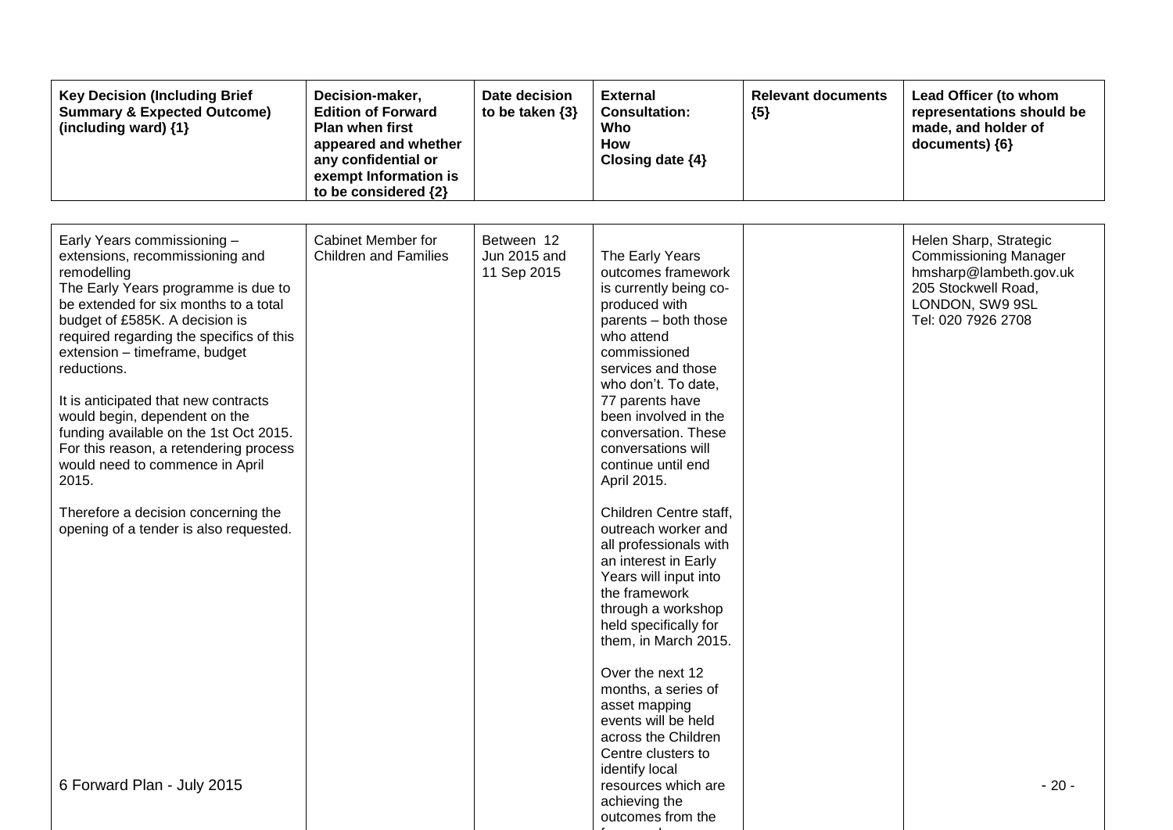| <b>Key Decision (Including Brief</b><br><b>Summary &amp; Expected Outcome)</b><br>(including ward) {1}                                                                                                                                                                                                                                                                                                                                                                                                                                                                                | Decision-maker,<br><b>Edition of Forward</b><br><b>Plan when first</b><br>appeared and whether<br>any confidential or<br>exempt Information is<br>to be considered {2} | Date decision<br>to be taken $\{3\}$      | <b>External</b><br><b>Consultation:</b><br>Who<br>How<br>Closing date {4}                                                                                                                                                                                                                                                                                                                                                                                                                                                                                                                                                                                            | <b>Relevant documents</b><br>${5}$ | Lead Officer (to whom<br>representations should be<br>made, and holder of<br>documents) {6}                                                      |
|---------------------------------------------------------------------------------------------------------------------------------------------------------------------------------------------------------------------------------------------------------------------------------------------------------------------------------------------------------------------------------------------------------------------------------------------------------------------------------------------------------------------------------------------------------------------------------------|------------------------------------------------------------------------------------------------------------------------------------------------------------------------|-------------------------------------------|----------------------------------------------------------------------------------------------------------------------------------------------------------------------------------------------------------------------------------------------------------------------------------------------------------------------------------------------------------------------------------------------------------------------------------------------------------------------------------------------------------------------------------------------------------------------------------------------------------------------------------------------------------------------|------------------------------------|--------------------------------------------------------------------------------------------------------------------------------------------------|
| Early Years commissioning -<br>extensions, recommissioning and<br>remodelling<br>The Early Years programme is due to<br>be extended for six months to a total<br>budget of £585K. A decision is<br>required regarding the specifics of this<br>extension - timeframe, budget<br>reductions.<br>It is anticipated that new contracts<br>would begin, dependent on the<br>funding available on the 1st Oct 2015.<br>For this reason, a retendering process<br>would need to commence in April<br>2015.<br>Therefore a decision concerning the<br>opening of a tender is also requested. | Cabinet Member for<br><b>Children and Families</b>                                                                                                                     | Between 12<br>Jun 2015 and<br>11 Sep 2015 | The Early Years<br>outcomes framework<br>is currently being co-<br>produced with<br>parents - both those<br>who attend<br>commissioned<br>services and those<br>who don't. To date,<br>77 parents have<br>been involved in the<br>conversation. These<br>conversations will<br>continue until end<br>April 2015.<br>Children Centre staff,<br>outreach worker and<br>all professionals with<br>an interest in Early<br>Years will input into<br>the framework<br>through a workshop<br>held specifically for<br>them, in March 2015.<br>Over the next 12<br>months, a series of<br>asset mapping<br>events will be held<br>across the Children<br>Centre clusters to |                                    | Helen Sharp, Strategic<br><b>Commissioning Manager</b><br>hmsharp@lambeth.gov.uk<br>205 Stockwell Road,<br>LONDON, SW9 9SL<br>Tel: 020 7926 2708 |
| 6 Forward Plan - July 2015                                                                                                                                                                                                                                                                                                                                                                                                                                                                                                                                                            |                                                                                                                                                                        |                                           | identify local<br>resources which are<br>achieving the<br>outcomes from the                                                                                                                                                                                                                                                                                                                                                                                                                                                                                                                                                                                          |                                    | $-20-$                                                                                                                                           |

framework.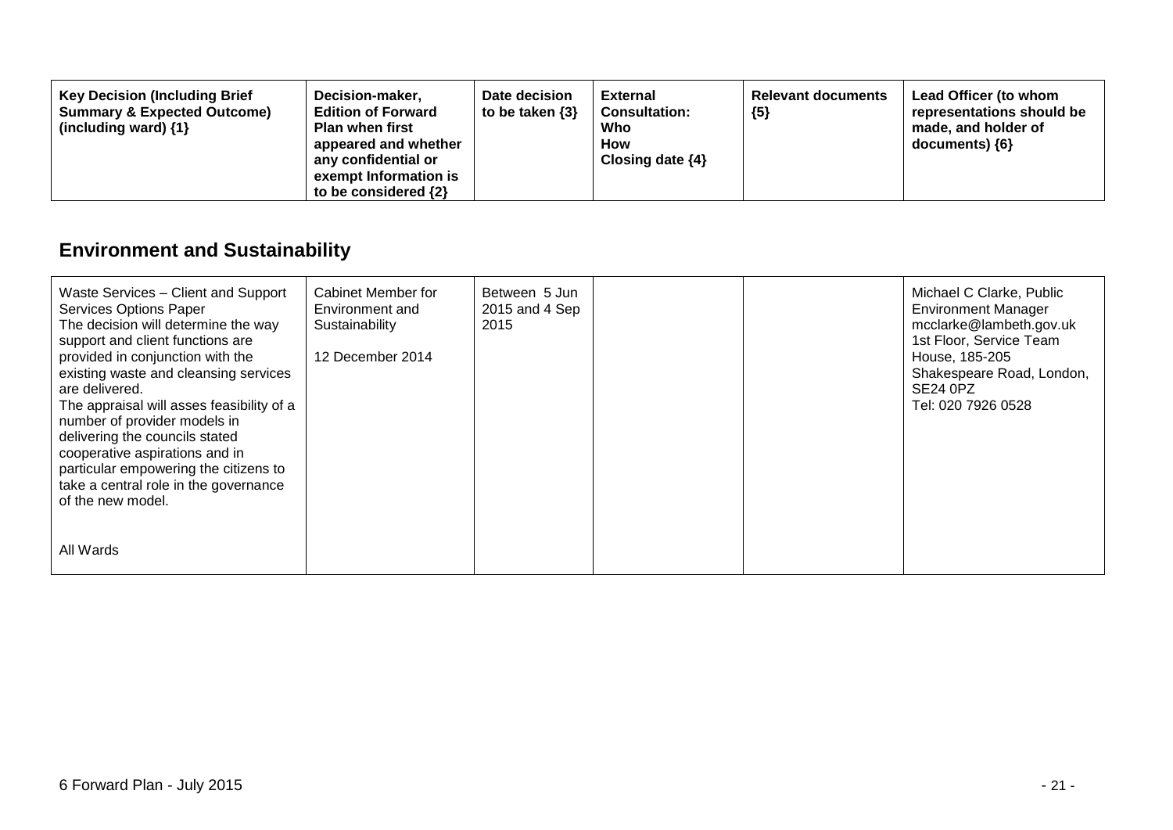| <b>Key Decision (Including Brief</b><br>Decision-maker,<br><b>Summary &amp; Expected Outcome)</b><br><b>Edition of Forward</b><br><b>Plan when first</b><br>(including ward) $\{1\}$<br>appeared and whether<br>any confidential or<br>exempt Information is<br>to be considered $\{2\}$ | Date decision<br>to be taken $\{3\}$ | External<br><b>Consultation:</b><br>Who<br><b>How</b><br>Closing date $\{4\}$ | <b>Relevant documents</b><br>${5}$ | Lead Officer (to whom<br>representations should be<br>made, and holder of<br>$documents)$ {6} |
|------------------------------------------------------------------------------------------------------------------------------------------------------------------------------------------------------------------------------------------------------------------------------------------|--------------------------------------|-------------------------------------------------------------------------------|------------------------------------|-----------------------------------------------------------------------------------------------|
|------------------------------------------------------------------------------------------------------------------------------------------------------------------------------------------------------------------------------------------------------------------------------------------|--------------------------------------|-------------------------------------------------------------------------------|------------------------------------|-----------------------------------------------------------------------------------------------|

# **Environment and Sustainability**

| Waste Services - Client and Support<br><b>Services Options Paper</b><br>The decision will determine the way<br>support and client functions are<br>provided in conjunction with the<br>existing waste and cleansing services<br>are delivered.<br>The appraisal will asses feasibility of a<br>number of provider models in<br>delivering the councils stated<br>cooperative aspirations and in<br>particular empowering the citizens to<br>take a central role in the governance<br>of the new model. | Cabinet Member for<br>Environment and<br>Sustainability<br>12 December 2014 | Between 5 Jun<br>2015 and 4 Sep<br>2015 |  | Michael C Clarke, Public<br><b>Environment Manager</b><br>mcclarke@lambeth.gov.uk<br>1st Floor, Service Team<br>House, 185-205<br>Shakespeare Road, London,<br><b>SE24 0PZ</b><br>Tel: 020 7926 0528 |
|--------------------------------------------------------------------------------------------------------------------------------------------------------------------------------------------------------------------------------------------------------------------------------------------------------------------------------------------------------------------------------------------------------------------------------------------------------------------------------------------------------|-----------------------------------------------------------------------------|-----------------------------------------|--|------------------------------------------------------------------------------------------------------------------------------------------------------------------------------------------------------|
| All Wards                                                                                                                                                                                                                                                                                                                                                                                                                                                                                              |                                                                             |                                         |  |                                                                                                                                                                                                      |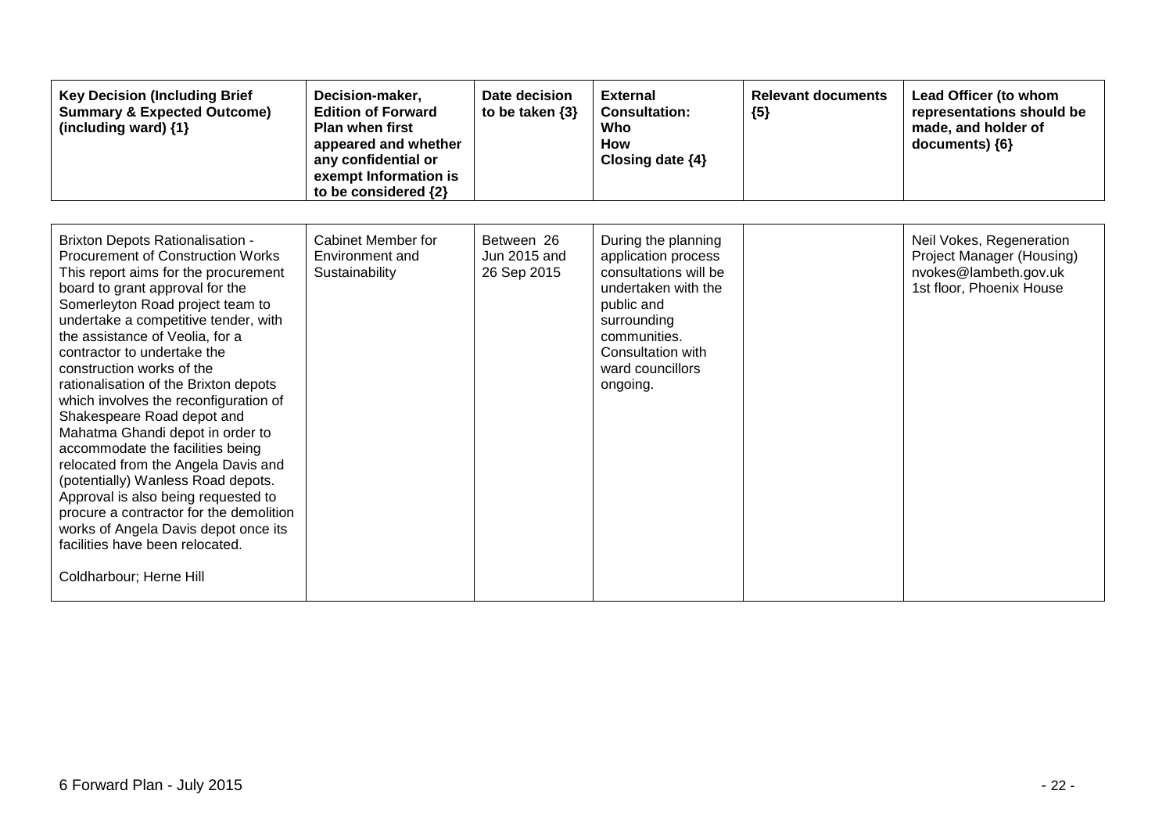| <b>Key Decision (Including Brief</b><br><b>Summary &amp; Expected Outcome)</b><br>(including ward) {1}                                                                                                                                                                                                                                                                                                                                                                                                                                                                                                                                                                                                                                                                                                 | Decision-maker,<br><b>Edition of Forward</b><br><b>Plan when first</b><br>appeared and whether<br>any confidential or<br>exempt Information is<br>to be considered {2} | Date decision<br>to be taken $\{3\}$      | <b>External</b><br><b>Consultation:</b><br>Who<br>How<br>Closing date {4}                                                                                                                    | <b>Relevant documents</b><br>${5}$ | Lead Officer (to whom<br>representations should be<br>made, and holder of<br>documents) {6}                |
|--------------------------------------------------------------------------------------------------------------------------------------------------------------------------------------------------------------------------------------------------------------------------------------------------------------------------------------------------------------------------------------------------------------------------------------------------------------------------------------------------------------------------------------------------------------------------------------------------------------------------------------------------------------------------------------------------------------------------------------------------------------------------------------------------------|------------------------------------------------------------------------------------------------------------------------------------------------------------------------|-------------------------------------------|----------------------------------------------------------------------------------------------------------------------------------------------------------------------------------------------|------------------------------------|------------------------------------------------------------------------------------------------------------|
| <b>Brixton Depots Rationalisation -</b><br><b>Procurement of Construction Works</b><br>This report aims for the procurement<br>board to grant approval for the<br>Somerleyton Road project team to<br>undertake a competitive tender, with<br>the assistance of Veolia, for a<br>contractor to undertake the<br>construction works of the<br>rationalisation of the Brixton depots<br>which involves the reconfiguration of<br>Shakespeare Road depot and<br>Mahatma Ghandi depot in order to<br>accommodate the facilities being<br>relocated from the Angela Davis and<br>(potentially) Wanless Road depots.<br>Approval is also being requested to<br>procure a contractor for the demolition<br>works of Angela Davis depot once its<br>facilities have been relocated.<br>Coldharbour; Herne Hill | Cabinet Member for<br>Environment and<br>Sustainability                                                                                                                | Between 26<br>Jun 2015 and<br>26 Sep 2015 | During the planning<br>application process<br>consultations will be<br>undertaken with the<br>public and<br>surrounding<br>communities.<br>Consultation with<br>ward councillors<br>ongoing. |                                    | Neil Vokes, Regeneration<br>Project Manager (Housing)<br>nvokes@lambeth.gov.uk<br>1st floor, Phoenix House |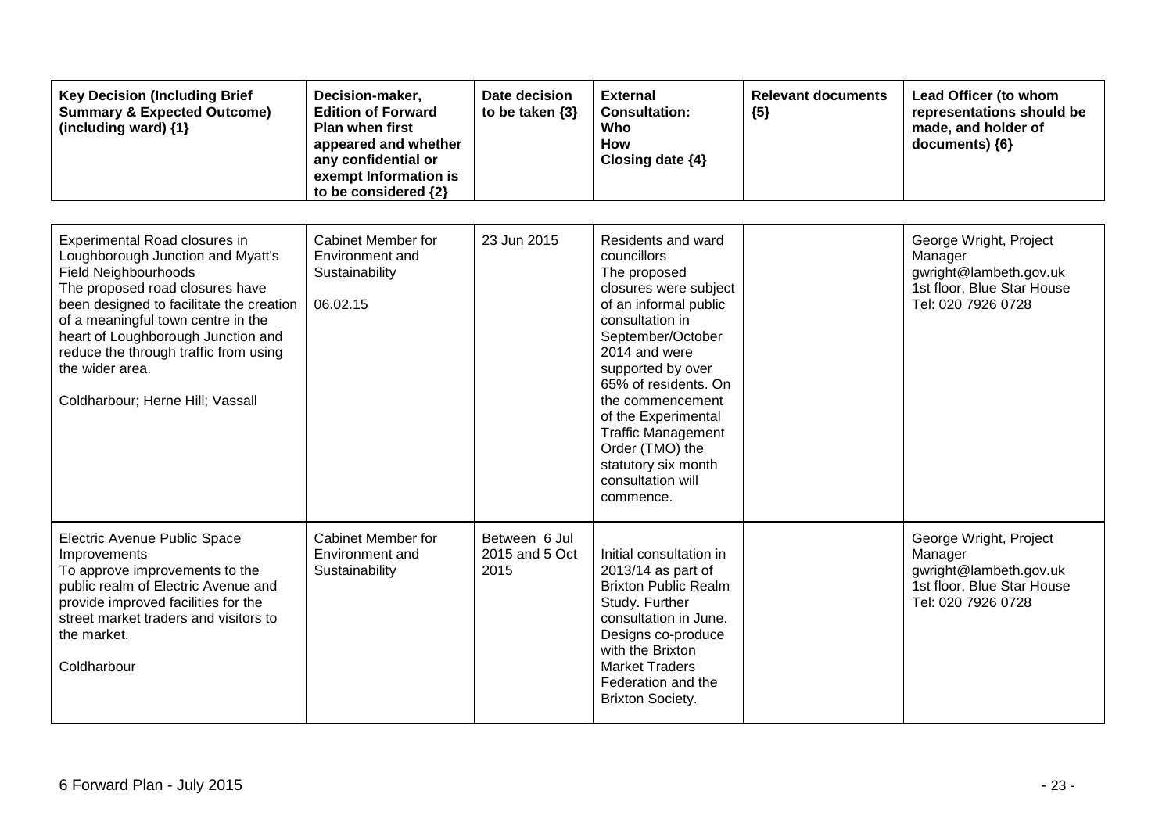| <b>Key Decision (Including Brief</b><br><b>Summary &amp; Expected Outcome)</b><br>(including ward) {1}                                                                                                                                                                                                                                                       | Decision-maker,<br><b>Edition of Forward</b><br><b>Plan when first</b><br>appeared and whether<br>any confidential or<br>exempt Information is<br>to be considered {2} | Date decision<br>to be taken {3}        | <b>External</b><br><b>Consultation:</b><br>Who<br><b>How</b><br>Closing date {4}                                                                                                                                                                                                                                                                              | <b>Relevant documents</b><br>${5}$ | Lead Officer (to whom<br>representations should be<br>made, and holder of<br>documents) {6}                     |
|--------------------------------------------------------------------------------------------------------------------------------------------------------------------------------------------------------------------------------------------------------------------------------------------------------------------------------------------------------------|------------------------------------------------------------------------------------------------------------------------------------------------------------------------|-----------------------------------------|---------------------------------------------------------------------------------------------------------------------------------------------------------------------------------------------------------------------------------------------------------------------------------------------------------------------------------------------------------------|------------------------------------|-----------------------------------------------------------------------------------------------------------------|
| Experimental Road closures in<br>Loughborough Junction and Myatt's<br><b>Field Neighbourhoods</b><br>The proposed road closures have<br>been designed to facilitate the creation<br>of a meaningful town centre in the<br>heart of Loughborough Junction and<br>reduce the through traffic from using<br>the wider area.<br>Coldharbour; Herne Hill; Vassall | Cabinet Member for<br>Environment and<br>Sustainability<br>06.02.15                                                                                                    | 23 Jun 2015                             | Residents and ward<br>councillors<br>The proposed<br>closures were subject<br>of an informal public<br>consultation in<br>September/October<br>2014 and were<br>supported by over<br>65% of residents, On<br>the commencement<br>of the Experimental<br><b>Traffic Management</b><br>Order (TMO) the<br>statutory six month<br>consultation will<br>commence. |                                    | George Wright, Project<br>Manager<br>gwright@lambeth.gov.uk<br>1st floor, Blue Star House<br>Tel: 020 7926 0728 |
| Electric Avenue Public Space<br>Improvements<br>To approve improvements to the<br>public realm of Electric Avenue and<br>provide improved facilities for the<br>street market traders and visitors to<br>the market.<br>Coldharbour                                                                                                                          | Cabinet Member for<br>Environment and<br>Sustainability                                                                                                                | Between 6 Jul<br>2015 and 5 Oct<br>2015 | Initial consultation in<br>2013/14 as part of<br><b>Brixton Public Realm</b><br>Study. Further<br>consultation in June.<br>Designs co-produce<br>with the Brixton<br><b>Market Traders</b><br>Federation and the<br><b>Brixton Society.</b>                                                                                                                   |                                    | George Wright, Project<br>Manager<br>gwright@lambeth.gov.uk<br>1st floor, Blue Star House<br>Tel: 020 7926 0728 |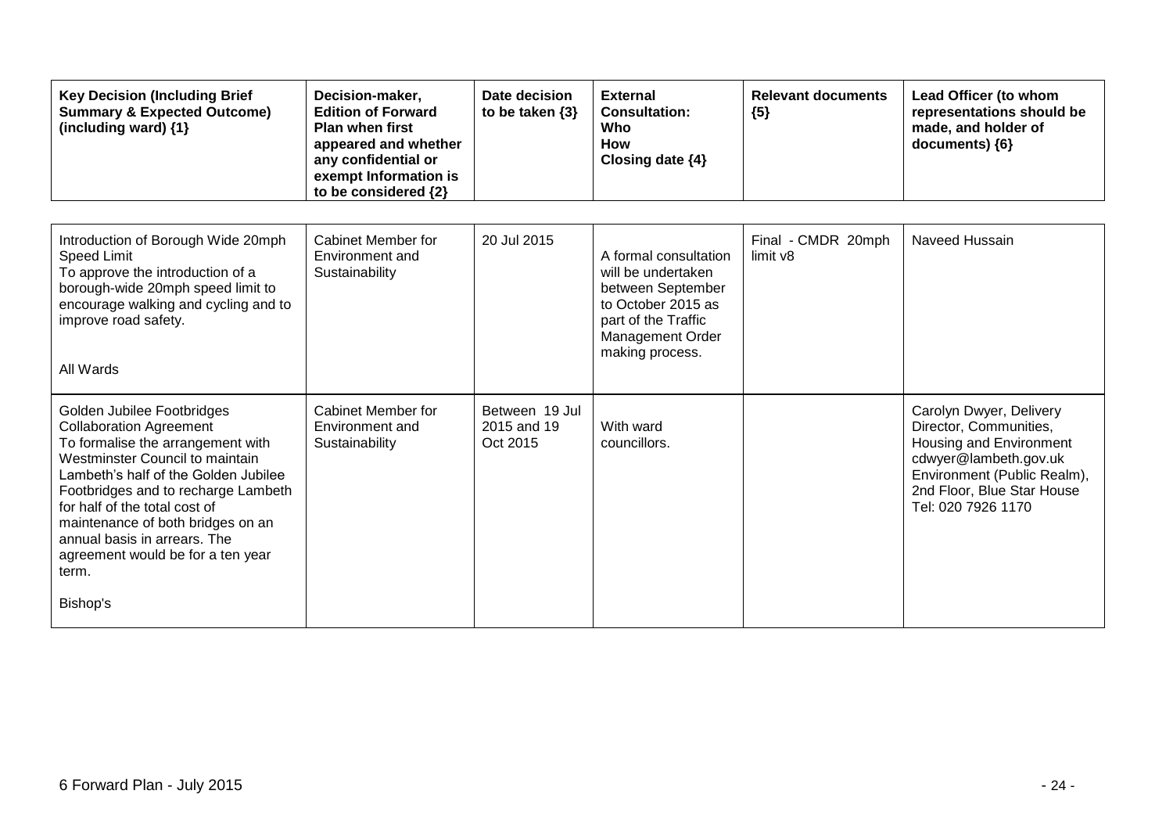| <b>Key Decision (Including Brief</b><br><b>Summary &amp; Expected Outcome)</b><br>(including ward) {1}                                                                                                                                                                                                                                                                              | Decision-maker,<br><b>Edition of Forward</b><br><b>Plan when first</b><br>appeared and whether<br>any confidential or<br>exempt Information is<br>to be considered {2} | Date decision<br>to be taken $\{3\}$      | <b>External</b><br><b>Consultation:</b><br>Who<br><b>How</b><br>Closing date {4}                                                                            | <b>Relevant documents</b><br>${5}$ | Lead Officer (to whom<br>representations should be<br>made, and holder of<br>documents) ${6}$                                                                                            |
|-------------------------------------------------------------------------------------------------------------------------------------------------------------------------------------------------------------------------------------------------------------------------------------------------------------------------------------------------------------------------------------|------------------------------------------------------------------------------------------------------------------------------------------------------------------------|-------------------------------------------|-------------------------------------------------------------------------------------------------------------------------------------------------------------|------------------------------------|------------------------------------------------------------------------------------------------------------------------------------------------------------------------------------------|
| Introduction of Borough Wide 20mph<br><b>Speed Limit</b><br>To approve the introduction of a<br>borough-wide 20mph speed limit to<br>encourage walking and cycling and to<br>improve road safety.<br>All Wards                                                                                                                                                                      | <b>Cabinet Member for</b><br>Environment and<br>Sustainability                                                                                                         | 20 Jul 2015                               | A formal consultation<br>will be undertaken<br>between September<br>to October 2015 as<br>part of the Traffic<br><b>Management Order</b><br>making process. | Final - CMDR 20mph<br>limit v8     | Naveed Hussain                                                                                                                                                                           |
| Golden Jubilee Footbridges<br><b>Collaboration Agreement</b><br>To formalise the arrangement with<br>Westminster Council to maintain<br>Lambeth's half of the Golden Jubilee<br>Footbridges and to recharge Lambeth<br>for half of the total cost of<br>maintenance of both bridges on an<br>annual basis in arrears. The<br>agreement would be for a ten year<br>term.<br>Bishop's | <b>Cabinet Member for</b><br>Environment and<br>Sustainability                                                                                                         | Between 19 Jul<br>2015 and 19<br>Oct 2015 | With ward<br>councillors.                                                                                                                                   |                                    | Carolyn Dwyer, Delivery<br>Director, Communities,<br>Housing and Environment<br>cdwyer@lambeth.gov.uk<br>Environment (Public Realm),<br>2nd Floor, Blue Star House<br>Tel: 020 7926 1170 |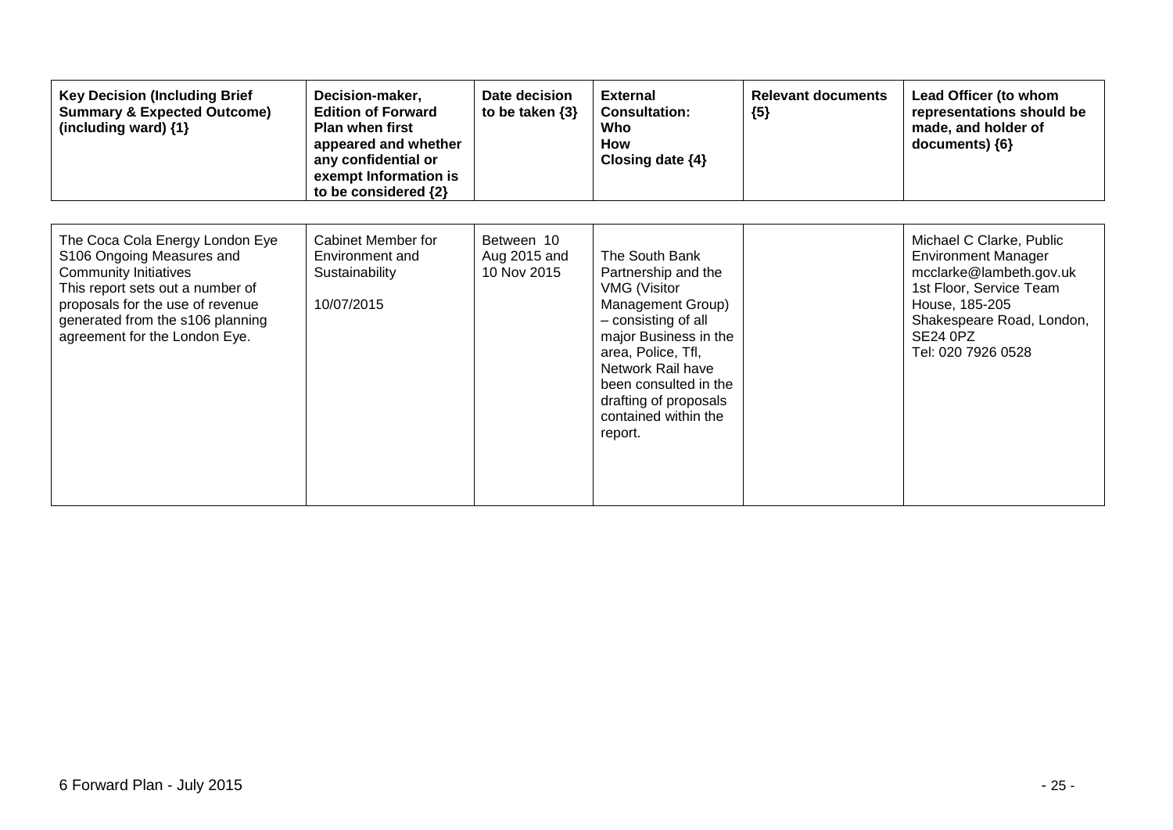| <b>Key Decision (Including Brief</b><br><b>Summary &amp; Expected Outcome)</b><br>(including ward) {1}                                                                                                                                    | Decision-maker,<br><b>Edition of Forward</b><br><b>Plan when first</b><br>appeared and whether<br>any confidential or<br>exempt Information is<br>to be considered {2} | Date decision<br>to be taken $\{3\}$      | <b>External</b><br><b>Consultation:</b><br>Who<br>How<br>Closing date $\{4\}$                                                                                                                                                                              | <b>Relevant documents</b><br>${5}$ | Lead Officer (to whom<br>representations should be<br>made, and holder of<br>documents) ${6}$                                                                                                        |
|-------------------------------------------------------------------------------------------------------------------------------------------------------------------------------------------------------------------------------------------|------------------------------------------------------------------------------------------------------------------------------------------------------------------------|-------------------------------------------|------------------------------------------------------------------------------------------------------------------------------------------------------------------------------------------------------------------------------------------------------------|------------------------------------|------------------------------------------------------------------------------------------------------------------------------------------------------------------------------------------------------|
| The Coca Cola Energy London Eye<br>S106 Ongoing Measures and<br><b>Community Initiatives</b><br>This report sets out a number of<br>proposals for the use of revenue<br>generated from the s106 planning<br>agreement for the London Eye. | Cabinet Member for<br>Environment and<br>Sustainability<br>10/07/2015                                                                                                  | Between 10<br>Aug 2015 and<br>10 Nov 2015 | The South Bank<br>Partnership and the<br>VMG (Visitor<br>Management Group)<br>- consisting of all<br>major Business in the<br>area, Police, Tfl,<br>Network Rail have<br>been consulted in the<br>drafting of proposals<br>contained within the<br>report. |                                    | Michael C Clarke, Public<br><b>Environment Manager</b><br>mcclarke@lambeth.gov.uk<br>1st Floor, Service Team<br>House, 185-205<br>Shakespeare Road, London,<br><b>SE24 0PZ</b><br>Tel: 020 7926 0528 |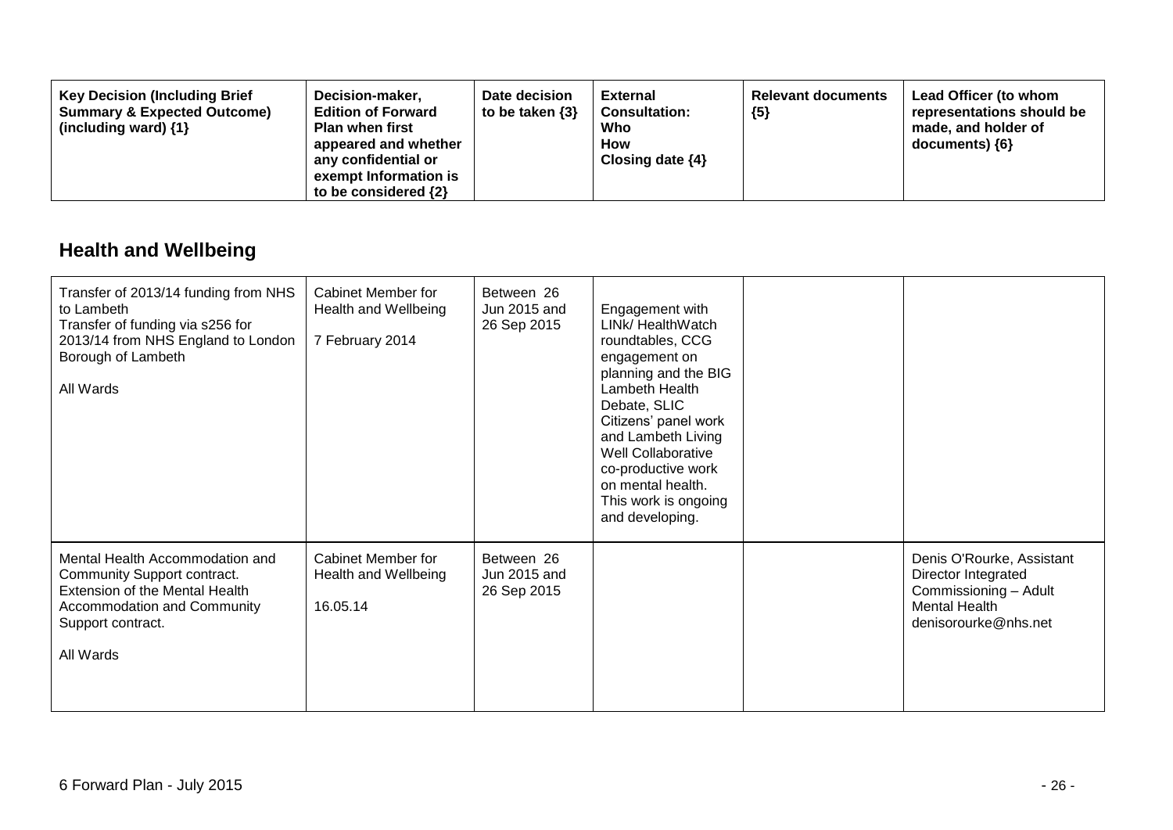| <b>Key Decision (Including Brief</b><br>Decision-maker,<br><b>Summary &amp; Expected Outcome)</b><br><b>Edition of Forward</b><br>(including ward) $\{1\}$<br><b>Plan when first</b><br>appeared and whether<br>any confidential or<br>exempt Information is<br>to be considered $\{2\}$ | Date decision<br>to be taken $\{3\}$ | <b>External</b><br><b>Consultation:</b><br>Who<br><b>How</b><br>Closing date $\{4\}$ | <b>Relevant documents</b><br>${5}$ | Lead Officer (to whom<br>representations should be<br>made, and holder of<br>documents) ${6}$ |
|------------------------------------------------------------------------------------------------------------------------------------------------------------------------------------------------------------------------------------------------------------------------------------------|--------------------------------------|--------------------------------------------------------------------------------------|------------------------------------|-----------------------------------------------------------------------------------------------|
|------------------------------------------------------------------------------------------------------------------------------------------------------------------------------------------------------------------------------------------------------------------------------------------|--------------------------------------|--------------------------------------------------------------------------------------|------------------------------------|-----------------------------------------------------------------------------------------------|

## **Health and Wellbeing**

| Transfer of 2013/14 funding from NHS<br>to Lambeth<br>Transfer of funding via s256 for<br>2013/14 from NHS England to London<br>Borough of Lambeth<br>All Wards          | Cabinet Member for<br>Health and Wellbeing<br>7 February 2014 | Between 26<br>Jun 2015 and<br>26 Sep 2015 | Engagement with<br>LINk/ HealthWatch<br>roundtables, CCG<br>engagement on<br>planning and the BIG<br>Lambeth Health<br>Debate, SLIC<br>Citizens' panel work<br>and Lambeth Living<br><b>Well Collaborative</b><br>co-productive work<br>on mental health.<br>This work is ongoing<br>and developing. |                                                                                                                           |
|--------------------------------------------------------------------------------------------------------------------------------------------------------------------------|---------------------------------------------------------------|-------------------------------------------|------------------------------------------------------------------------------------------------------------------------------------------------------------------------------------------------------------------------------------------------------------------------------------------------------|---------------------------------------------------------------------------------------------------------------------------|
| Mental Health Accommodation and<br>Community Support contract.<br>Extension of the Mental Health<br><b>Accommodation and Community</b><br>Support contract.<br>All Wards | <b>Cabinet Member for</b><br>Health and Wellbeing<br>16.05.14 | Between 26<br>Jun 2015 and<br>26 Sep 2015 |                                                                                                                                                                                                                                                                                                      | Denis O'Rourke, Assistant<br>Director Integrated<br>Commissioning - Adult<br><b>Mental Health</b><br>denisorourke@nhs.net |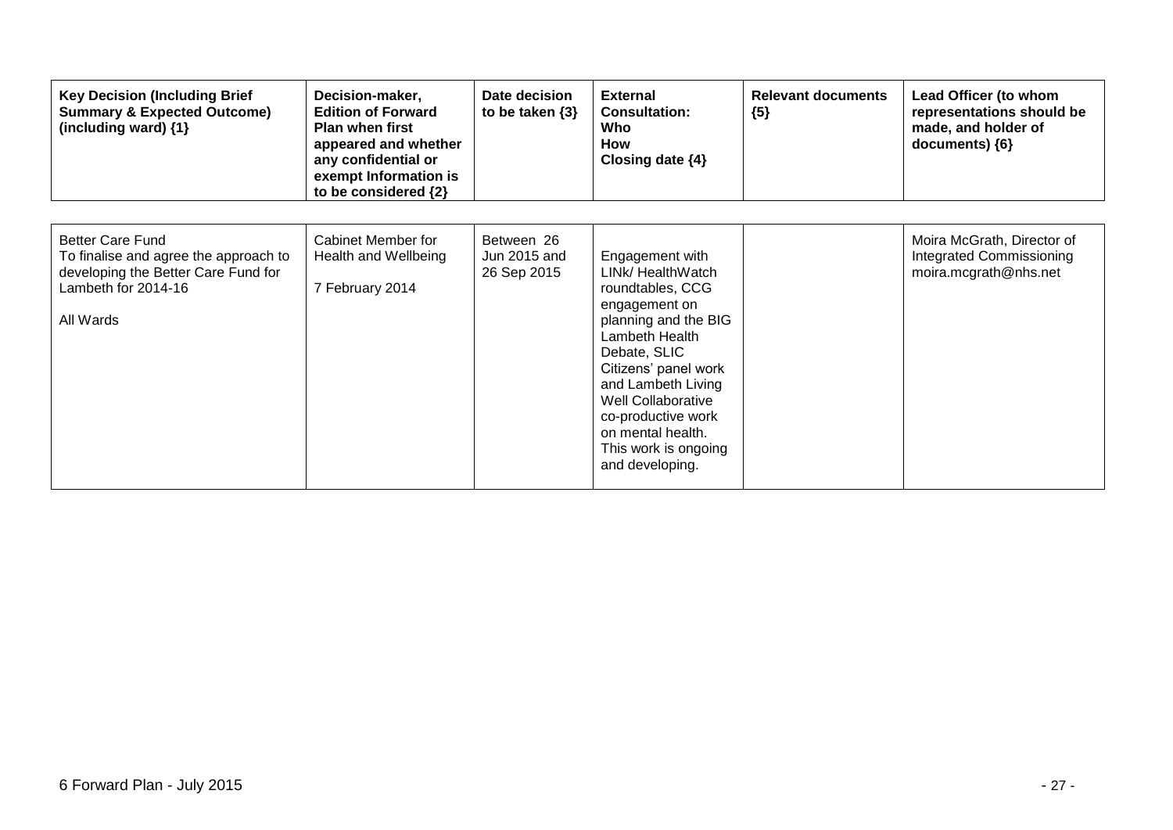| <b>Key Decision (Including Brief</b><br><b>Summary &amp; Expected Outcome)</b><br>(including ward) {1}                                      | Decision-maker,<br><b>Edition of Forward</b><br><b>Plan when first</b><br>appeared and whether<br>any confidential or<br>exempt Information is<br>to be considered {2} | Date decision<br>to be taken $\{3\}$      | <b>External</b><br><b>Consultation:</b><br>Who<br><b>How</b><br>Closing date $\{4\}$                                                                                                                                                                                                          | <b>Relevant documents</b><br>${5}$ | Lead Officer (to whom<br>representations should be<br>made, and holder of<br>documents) ${6}$ |
|---------------------------------------------------------------------------------------------------------------------------------------------|------------------------------------------------------------------------------------------------------------------------------------------------------------------------|-------------------------------------------|-----------------------------------------------------------------------------------------------------------------------------------------------------------------------------------------------------------------------------------------------------------------------------------------------|------------------------------------|-----------------------------------------------------------------------------------------------|
| <b>Better Care Fund</b><br>To finalise and agree the approach to<br>developing the Better Care Fund for<br>Lambeth for 2014-16<br>All Wards | Cabinet Member for<br>Health and Wellbeing<br>7 February 2014                                                                                                          | Between 26<br>Jun 2015 and<br>26 Sep 2015 | Engagement with<br>LINk/ HealthWatch<br>roundtables, CCG<br>engagement on<br>planning and the BIG<br>Lambeth Health<br>Debate, SLIC<br>Citizens' panel work<br>and Lambeth Living<br>Well Collaborative<br>co-productive work<br>on mental health.<br>This work is ongoing<br>and developing. |                                    | Moira McGrath, Director of<br><b>Integrated Commissioning</b><br>moira.mcgrath@nhs.net        |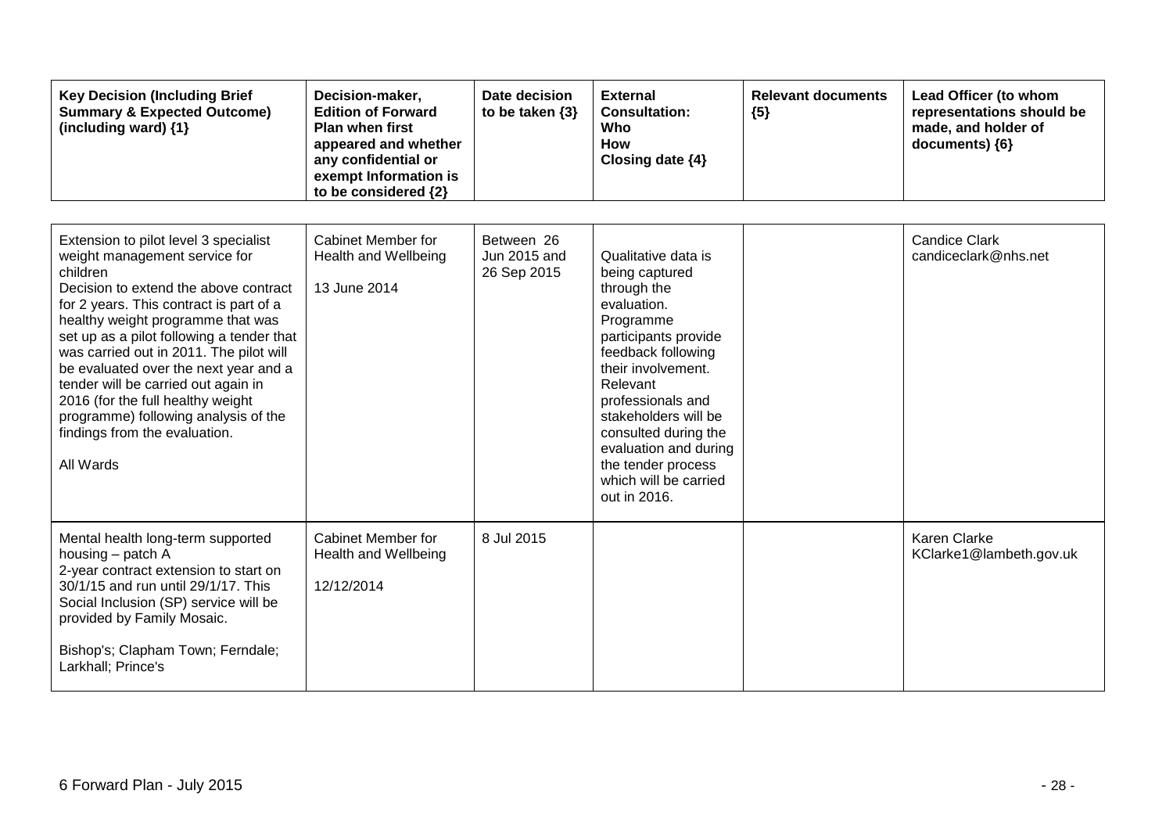| <b>Key Decision (Including Brief</b><br><b>Summary &amp; Expected Outcome)</b><br>(including ward) {1}                                                                                                                                                                                                                                                                                                                                                                                                         | Decision-maker,<br><b>Edition of Forward</b><br><b>Plan when first</b><br>appeared and whether<br>any confidential or<br>exempt Information is<br>to be considered {2} | Date decision<br>to be taken $\{3\}$      | <b>External</b><br><b>Consultation:</b><br>Who<br><b>How</b><br>Closing date {4}                                                                                                                                                                                                                                              | <b>Relevant documents</b><br>${5}$ | Lead Officer (to whom<br>representations should be<br>made, and holder of<br>documents) {6} |
|----------------------------------------------------------------------------------------------------------------------------------------------------------------------------------------------------------------------------------------------------------------------------------------------------------------------------------------------------------------------------------------------------------------------------------------------------------------------------------------------------------------|------------------------------------------------------------------------------------------------------------------------------------------------------------------------|-------------------------------------------|-------------------------------------------------------------------------------------------------------------------------------------------------------------------------------------------------------------------------------------------------------------------------------------------------------------------------------|------------------------------------|---------------------------------------------------------------------------------------------|
| Extension to pilot level 3 specialist<br>weight management service for<br>children<br>Decision to extend the above contract<br>for 2 years. This contract is part of a<br>healthy weight programme that was<br>set up as a pilot following a tender that<br>was carried out in 2011. The pilot will<br>be evaluated over the next year and a<br>tender will be carried out again in<br>2016 (for the full healthy weight<br>programme) following analysis of the<br>findings from the evaluation.<br>All Wards | <b>Cabinet Member for</b><br><b>Health and Wellbeing</b><br>13 June 2014                                                                                               | Between 26<br>Jun 2015 and<br>26 Sep 2015 | Qualitative data is<br>being captured<br>through the<br>evaluation.<br>Programme<br>participants provide<br>feedback following<br>their involvement.<br>Relevant<br>professionals and<br>stakeholders will be<br>consulted during the<br>evaluation and during<br>the tender process<br>which will be carried<br>out in 2016. |                                    | <b>Candice Clark</b><br>candiceclark@nhs.net                                                |
| Mental health long-term supported<br>housing - patch A<br>2-year contract extension to start on<br>30/1/15 and run until 29/1/17. This<br>Social Inclusion (SP) service will be<br>provided by Family Mosaic.<br>Bishop's; Clapham Town; Ferndale;<br>Larkhall; Prince's                                                                                                                                                                                                                                       | Cabinet Member for<br>Health and Wellbeing<br>12/12/2014                                                                                                               | 8 Jul 2015                                |                                                                                                                                                                                                                                                                                                                               |                                    | <b>Karen Clarke</b><br>KClarke1@lambeth.gov.uk                                              |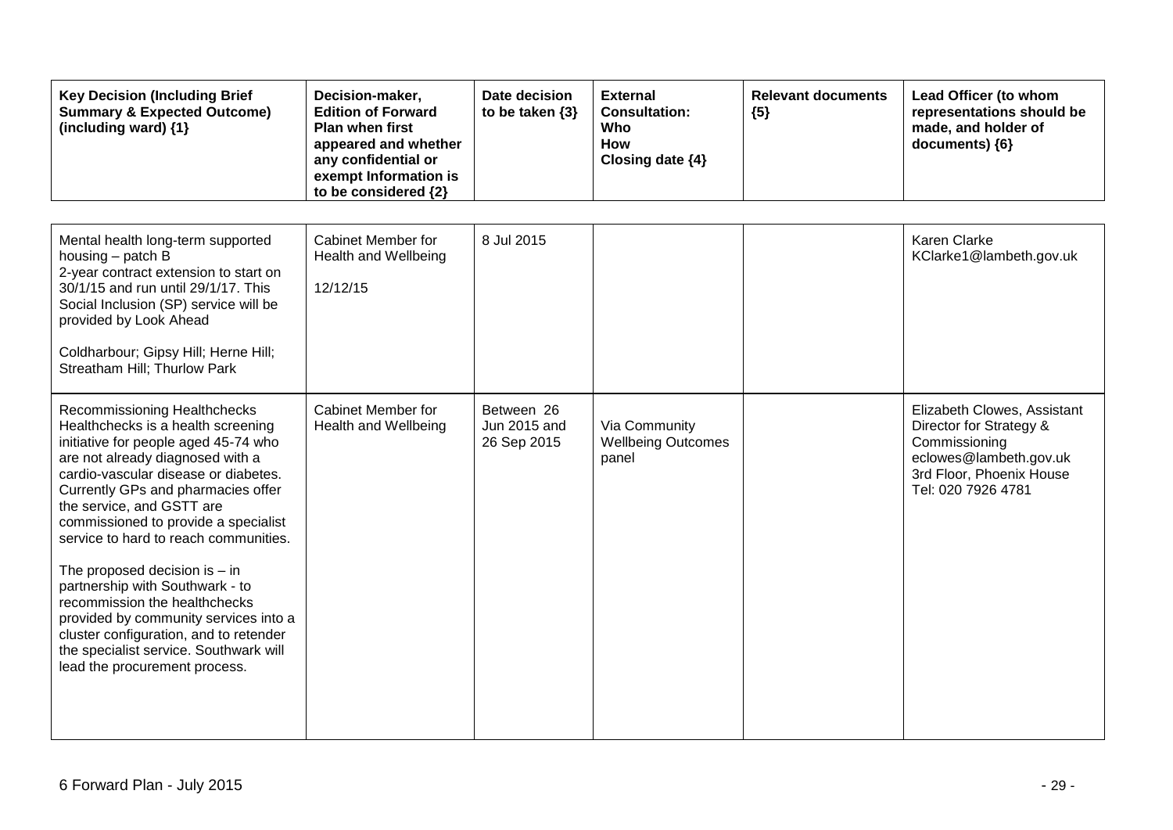| <b>Key Decision (Including Brief</b><br><b>Summary &amp; Expected Outcome)</b><br>(including ward) $\{1\}$                                                                                                                                                                                                                                                                                                                                                                                                                                                                                                      | Decision-maker,<br><b>Edition of Forward</b><br><b>Plan when first</b><br>appeared and whether<br>any confidential or<br>exempt Information is<br>to be considered {2} | Date decision<br>to be taken $\{3\}$      | <b>External</b><br><b>Consultation:</b><br>Who<br><b>How</b><br>Closing date {4} | <b>Relevant documents</b><br>${5}$ | Lead Officer (to whom<br>representations should be<br>made, and holder of<br>documents) {6}                                                         |
|-----------------------------------------------------------------------------------------------------------------------------------------------------------------------------------------------------------------------------------------------------------------------------------------------------------------------------------------------------------------------------------------------------------------------------------------------------------------------------------------------------------------------------------------------------------------------------------------------------------------|------------------------------------------------------------------------------------------------------------------------------------------------------------------------|-------------------------------------------|----------------------------------------------------------------------------------|------------------------------------|-----------------------------------------------------------------------------------------------------------------------------------------------------|
| Mental health long-term supported<br>housing - patch B<br>2-year contract extension to start on<br>30/1/15 and run until 29/1/17. This<br>Social Inclusion (SP) service will be<br>provided by Look Ahead<br>Coldharbour; Gipsy Hill; Herne Hill;<br>Streatham Hill; Thurlow Park                                                                                                                                                                                                                                                                                                                               | <b>Cabinet Member for</b><br><b>Health and Wellbeing</b><br>12/12/15                                                                                                   | 8 Jul 2015                                |                                                                                  |                                    | Karen Clarke<br>KClarke1@lambeth.gov.uk                                                                                                             |
| Recommissioning Healthchecks<br>Healthchecks is a health screening<br>initiative for people aged 45-74 who<br>are not already diagnosed with a<br>cardio-vascular disease or diabetes.<br>Currently GPs and pharmacies offer<br>the service, and GSTT are<br>commissioned to provide a specialist<br>service to hard to reach communities.<br>The proposed decision is $-$ in<br>partnership with Southwark - to<br>recommission the healthchecks<br>provided by community services into a<br>cluster configuration, and to retender<br>the specialist service. Southwark will<br>lead the procurement process. | <b>Cabinet Member for</b><br>Health and Wellbeing                                                                                                                      | Between 26<br>Jun 2015 and<br>26 Sep 2015 | Via Community<br><b>Wellbeing Outcomes</b><br>panel                              |                                    | Elizabeth Clowes, Assistant<br>Director for Strategy &<br>Commissioning<br>eclowes@lambeth.gov.uk<br>3rd Floor, Phoenix House<br>Tel: 020 7926 4781 |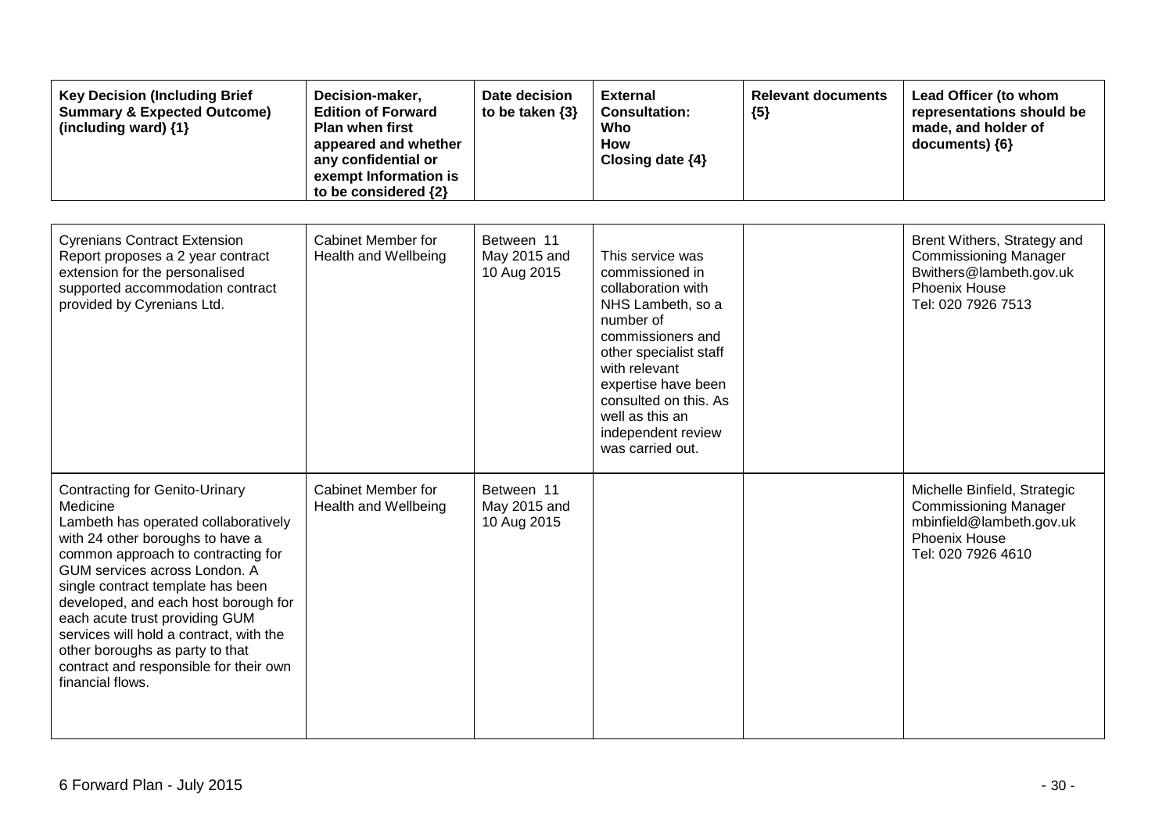| <b>Key Decision (Including Brief</b><br><b>Summary &amp; Expected Outcome)</b><br>(including ward) {1}                                                                                                                                                                                                                                                                                                                                                          | Decision-maker,<br><b>Edition of Forward</b><br><b>Plan when first</b><br>appeared and whether<br>any confidential or<br>exempt Information is<br>to be considered {2} | Date decision<br>to be taken $\{3\}$      | <b>External</b><br><b>Consultation:</b><br>Who<br><b>How</b><br>Closing date {4}                                                                                                                                                                                         | <b>Relevant documents</b><br>${5}$ | Lead Officer (to whom<br>representations should be<br>made, and holder of<br>documents) {6}                                            |
|-----------------------------------------------------------------------------------------------------------------------------------------------------------------------------------------------------------------------------------------------------------------------------------------------------------------------------------------------------------------------------------------------------------------------------------------------------------------|------------------------------------------------------------------------------------------------------------------------------------------------------------------------|-------------------------------------------|--------------------------------------------------------------------------------------------------------------------------------------------------------------------------------------------------------------------------------------------------------------------------|------------------------------------|----------------------------------------------------------------------------------------------------------------------------------------|
| <b>Cyrenians Contract Extension</b><br>Report proposes a 2 year contract<br>extension for the personalised<br>supported accommodation contract<br>provided by Cyrenians Ltd.                                                                                                                                                                                                                                                                                    | Cabinet Member for<br>Health and Wellbeing                                                                                                                             | Between 11<br>May 2015 and<br>10 Aug 2015 | This service was<br>commissioned in<br>collaboration with<br>NHS Lambeth, so a<br>number of<br>commissioners and<br>other specialist staff<br>with relevant<br>expertise have been<br>consulted on this. As<br>well as this an<br>independent review<br>was carried out. |                                    | Brent Withers, Strategy and<br><b>Commissioning Manager</b><br>Bwithers@lambeth.gov.uk<br><b>Phoenix House</b><br>Tel: 020 7926 7513   |
| <b>Contracting for Genito-Urinary</b><br>Medicine<br>Lambeth has operated collaboratively<br>with 24 other boroughs to have a<br>common approach to contracting for<br>GUM services across London. A<br>single contract template has been<br>developed, and each host borough for<br>each acute trust providing GUM<br>services will hold a contract, with the<br>other boroughs as party to that<br>contract and responsible for their own<br>financial flows. | Cabinet Member for<br>Health and Wellbeing                                                                                                                             | Between 11<br>May 2015 and<br>10 Aug 2015 |                                                                                                                                                                                                                                                                          |                                    | Michelle Binfield, Strategic<br><b>Commissioning Manager</b><br>mbinfield@lambeth.gov.uk<br><b>Phoenix House</b><br>Tel: 020 7926 4610 |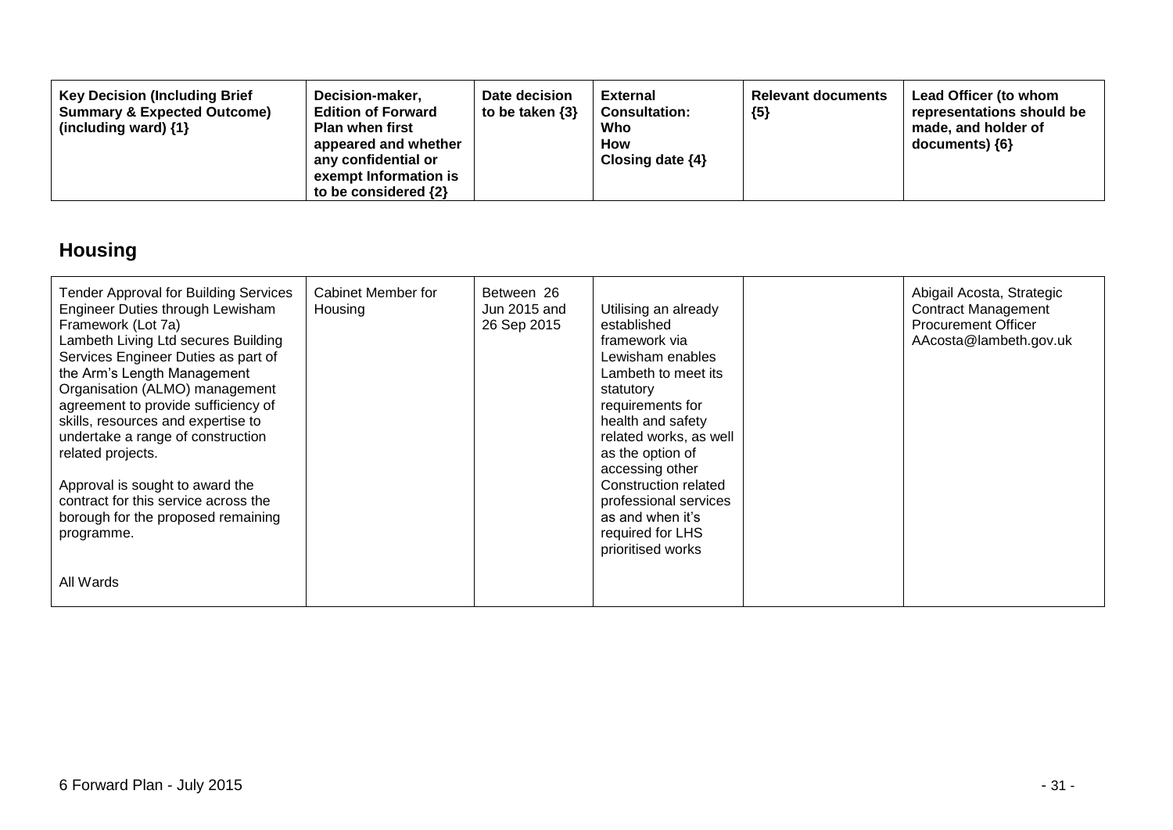| Decision-maker,<br><b>Key Decision (Including Brief</b><br><b>Summary &amp; Expected Outcome)</b><br><b>Edition of Forward</b><br><b>Plan when first</b><br>(including ward) $\{1\}$<br>appeared and whether<br>any confidential or<br>exempt Information is<br>to be considered $\{2\}$ | Date decision<br>to be taken $\{3\}$ | <b>External</b><br><b>Consultation:</b><br>Who<br>How<br>Closing date $\{4\}$ | <b>Relevant documents</b><br>${5}$ | Lead Officer (to whom<br>representations should be<br>made, and holder of<br>documents) ${6}$ |
|------------------------------------------------------------------------------------------------------------------------------------------------------------------------------------------------------------------------------------------------------------------------------------------|--------------------------------------|-------------------------------------------------------------------------------|------------------------------------|-----------------------------------------------------------------------------------------------|
|------------------------------------------------------------------------------------------------------------------------------------------------------------------------------------------------------------------------------------------------------------------------------------------|--------------------------------------|-------------------------------------------------------------------------------|------------------------------------|-----------------------------------------------------------------------------------------------|

# **Housing**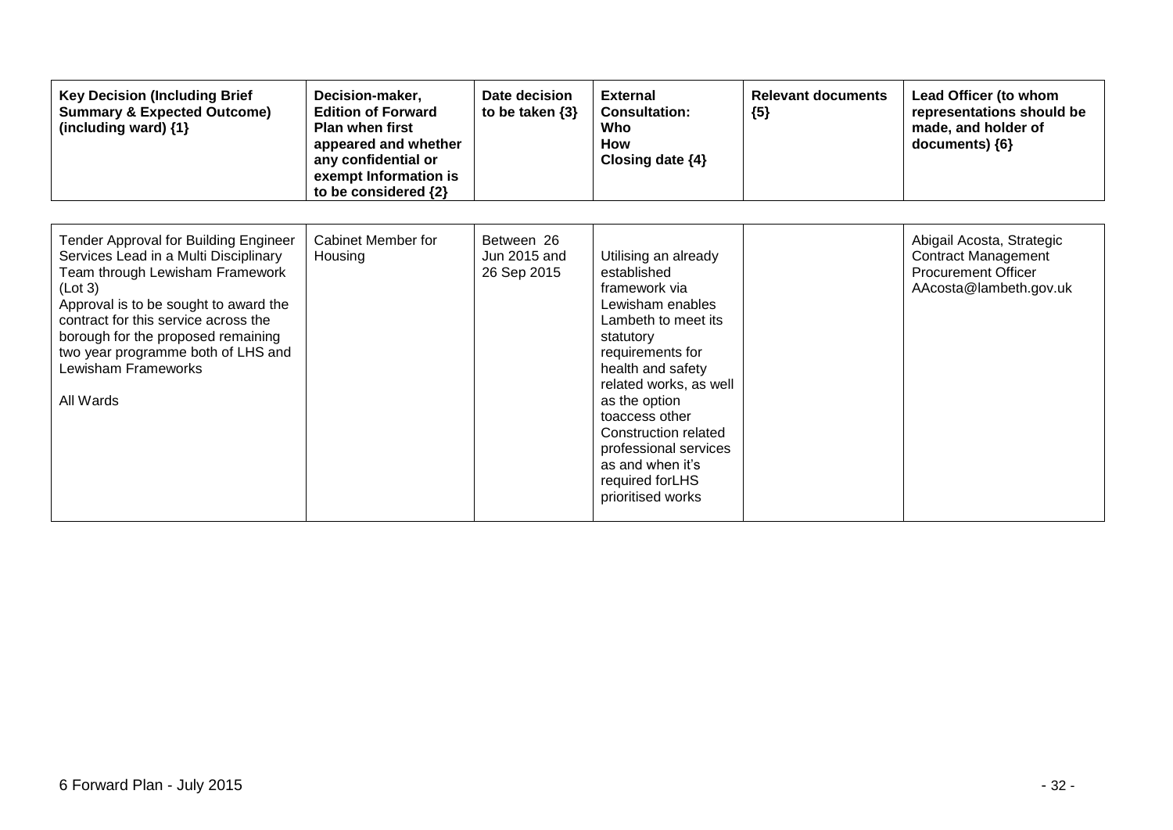| <b>Key Decision (Including Brief</b><br><b>Summary &amp; Expected Outcome)</b><br>(including ward) {1}                                                                                                                                                                                                                        | Decision-maker,<br><b>Edition of Forward</b><br><b>Plan when first</b><br>appeared and whether<br>any confidential or<br>exempt Information is<br>to be considered {2} | Date decision<br>to be taken $\{3\}$      | <b>External</b><br><b>Consultation:</b><br>Who<br><b>How</b><br>Closing date $\{4\}$                                                                                                                                                                                                                                             | <b>Relevant documents</b><br>${5}$ | Lead Officer (to whom<br>representations should be<br>made, and holder of<br>documents) ${6}$                   |
|-------------------------------------------------------------------------------------------------------------------------------------------------------------------------------------------------------------------------------------------------------------------------------------------------------------------------------|------------------------------------------------------------------------------------------------------------------------------------------------------------------------|-------------------------------------------|----------------------------------------------------------------------------------------------------------------------------------------------------------------------------------------------------------------------------------------------------------------------------------------------------------------------------------|------------------------------------|-----------------------------------------------------------------------------------------------------------------|
| Tender Approval for Building Engineer<br>Services Lead in a Multi Disciplinary<br>Team through Lewisham Framework<br>(Lot 3)<br>Approval is to be sought to award the<br>contract for this service across the<br>borough for the proposed remaining<br>two year programme both of LHS and<br>Lewisham Frameworks<br>All Wards | Cabinet Member for<br>Housing                                                                                                                                          | Between 26<br>Jun 2015 and<br>26 Sep 2015 | Utilising an already<br>established<br>framework via<br>Lewisham enables<br>Lambeth to meet its<br>statutory<br>requirements for<br>health and safety<br>related works, as well<br>as the option<br>toaccess other<br>Construction related<br>professional services<br>as and when it's<br>required for LHS<br>prioritised works |                                    | Abigail Acosta, Strategic<br><b>Contract Management</b><br><b>Procurement Officer</b><br>AAcosta@lambeth.gov.uk |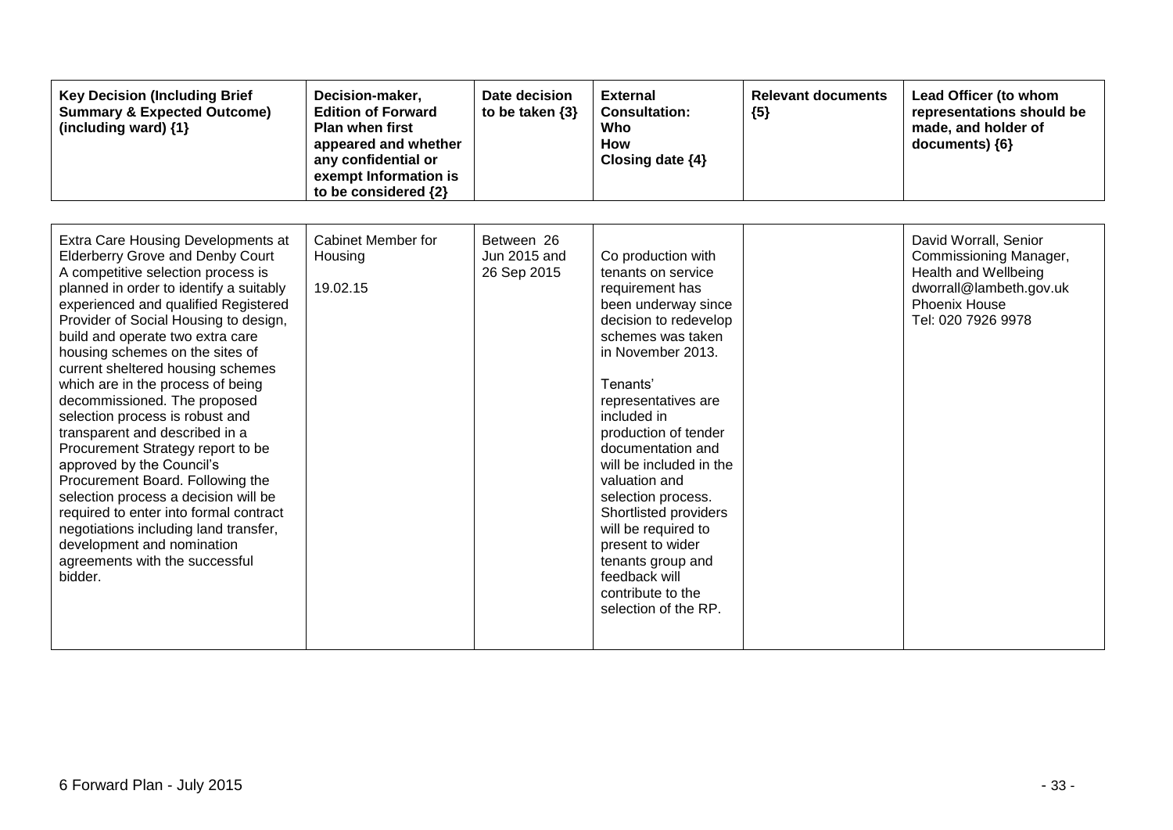| <b>Key Decision (Including Brief</b><br><b>Summary &amp; Expected Outcome)</b><br>(including ward) {1}                                                                                                                                                                                                                                                                                                                                                                                                                                                                                                                                                                                                                                                                                                            | Decision-maker,<br><b>Edition of Forward</b><br><b>Plan when first</b><br>appeared and whether<br>any confidential or<br>exempt Information is<br>to be considered {2} | Date decision<br>to be taken $\{3\}$      | <b>External</b><br><b>Consultation:</b><br>Who<br>How<br>Closing date {4}                                                                                                                                                                                                                                                                                                                                                                                                     | <b>Relevant documents</b><br>${5}$ | Lead Officer (to whom<br>representations should be<br>made, and holder of<br>documents) ${6}$                                                    |
|-------------------------------------------------------------------------------------------------------------------------------------------------------------------------------------------------------------------------------------------------------------------------------------------------------------------------------------------------------------------------------------------------------------------------------------------------------------------------------------------------------------------------------------------------------------------------------------------------------------------------------------------------------------------------------------------------------------------------------------------------------------------------------------------------------------------|------------------------------------------------------------------------------------------------------------------------------------------------------------------------|-------------------------------------------|-------------------------------------------------------------------------------------------------------------------------------------------------------------------------------------------------------------------------------------------------------------------------------------------------------------------------------------------------------------------------------------------------------------------------------------------------------------------------------|------------------------------------|--------------------------------------------------------------------------------------------------------------------------------------------------|
| Extra Care Housing Developments at<br><b>Elderberry Grove and Denby Court</b><br>A competitive selection process is<br>planned in order to identify a suitably<br>experienced and qualified Registered<br>Provider of Social Housing to design,<br>build and operate two extra care<br>housing schemes on the sites of<br>current sheltered housing schemes<br>which are in the process of being<br>decommissioned. The proposed<br>selection process is robust and<br>transparent and described in a<br>Procurement Strategy report to be<br>approved by the Council's<br>Procurement Board. Following the<br>selection process a decision will be<br>required to enter into formal contract<br>negotiations including land transfer,<br>development and nomination<br>agreements with the successful<br>bidder. | Cabinet Member for<br>Housing<br>19.02.15                                                                                                                              | Between 26<br>Jun 2015 and<br>26 Sep 2015 | Co production with<br>tenants on service<br>requirement has<br>been underway since<br>decision to redevelop<br>schemes was taken<br>in November 2013.<br>Tenants'<br>representatives are<br>included in<br>production of tender<br>documentation and<br>will be included in the<br>valuation and<br>selection process.<br>Shortlisted providers<br>will be required to<br>present to wider<br>tenants group and<br>feedback will<br>contribute to the<br>selection of the RP. |                                    | David Worrall, Senior<br>Commissioning Manager,<br><b>Health and Wellbeing</b><br>dworrall@lambeth.gov.uk<br>Phoenix House<br>Tel: 020 7926 9978 |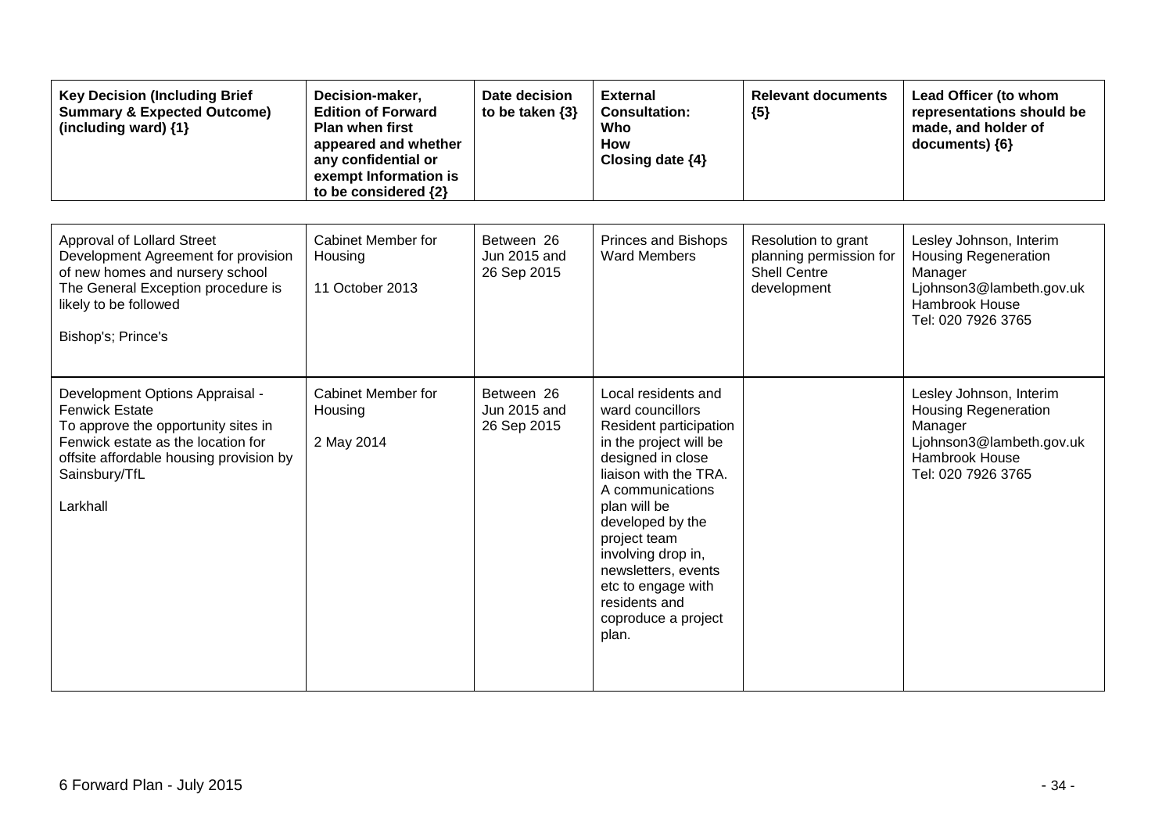| <b>Key Decision (Including Brief</b><br><b>Summary &amp; Expected Outcome)</b><br>(including ward) {1}                                                                                                        | Decision-maker,<br><b>Edition of Forward</b><br>Plan when first<br>appeared and whether<br>any confidential or<br>exempt Information is<br>to be considered {2} | Date decision<br>to be taken $\{3\}$      | <b>External</b><br><b>Consultation:</b><br>Who<br><b>How</b><br>Closing date {4}                                                                                                                                                                                                                                                      | <b>Relevant documents</b><br>${5}$                                                   | Lead Officer (to whom<br>representations should be<br>made, and holder of<br>documents) {6}                                           |
|---------------------------------------------------------------------------------------------------------------------------------------------------------------------------------------------------------------|-----------------------------------------------------------------------------------------------------------------------------------------------------------------|-------------------------------------------|---------------------------------------------------------------------------------------------------------------------------------------------------------------------------------------------------------------------------------------------------------------------------------------------------------------------------------------|--------------------------------------------------------------------------------------|---------------------------------------------------------------------------------------------------------------------------------------|
| Approval of Lollard Street<br>Development Agreement for provision<br>of new homes and nursery school<br>The General Exception procedure is<br>likely to be followed<br>Bishop's; Prince's                     | Cabinet Member for<br>Housing<br>11 October 2013                                                                                                                | Between 26<br>Jun 2015 and<br>26 Sep 2015 | Princes and Bishops<br><b>Ward Members</b>                                                                                                                                                                                                                                                                                            | Resolution to grant<br>planning permission for<br><b>Shell Centre</b><br>development | Lesley Johnson, Interim<br><b>Housing Regeneration</b><br>Manager<br>Ljohnson3@lambeth.gov.uk<br>Hambrook House<br>Tel: 020 7926 3765 |
| Development Options Appraisal -<br><b>Fenwick Estate</b><br>To approve the opportunity sites in<br>Fenwick estate as the location for<br>offsite affordable housing provision by<br>Sainsbury/TfL<br>Larkhall | Cabinet Member for<br>Housing<br>2 May 2014                                                                                                                     | Between 26<br>Jun 2015 and<br>26 Sep 2015 | Local residents and<br>ward councillors<br>Resident participation<br>in the project will be<br>designed in close<br>liaison with the TRA.<br>A communications<br>plan will be<br>developed by the<br>project team<br>involving drop in,<br>newsletters, events<br>etc to engage with<br>residents and<br>coproduce a project<br>plan. |                                                                                      | Lesley Johnson, Interim<br><b>Housing Regeneration</b><br>Manager<br>Ljohnson3@lambeth.gov.uk<br>Hambrook House<br>Tel: 020 7926 3765 |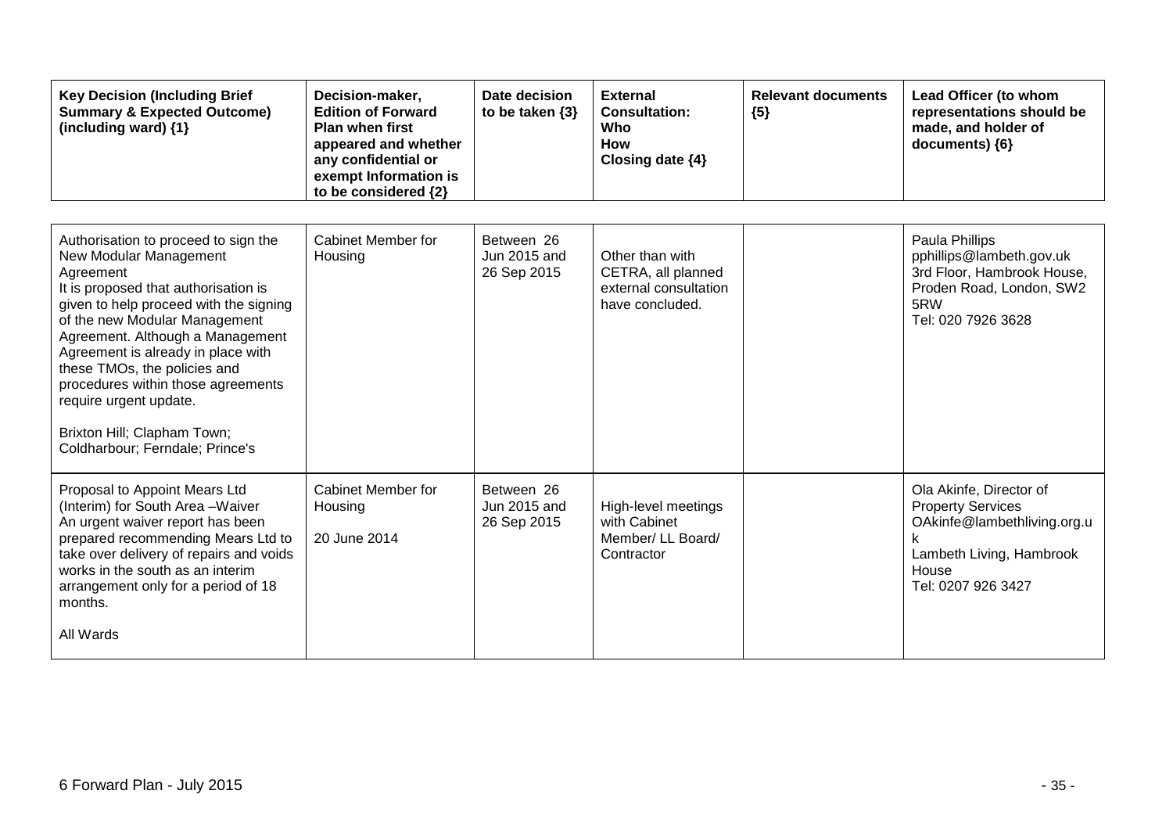| <b>Key Decision (Including Brief</b><br><b>Summary &amp; Expected Outcome)</b><br>(including ward) $\{1\}$                                                                                                                                                                                                                                                                                                                                 | Decision-maker,<br><b>Edition of Forward</b><br><b>Plan when first</b><br>appeared and whether<br>any confidential or<br>exempt Information is<br>to be considered {2} | Date decision<br>to be taken $\{3\}$      | <b>External</b><br><b>Consultation:</b><br>Who<br><b>How</b><br>Closing date {4}  | <b>Relevant documents</b><br>${5}$ | Lead Officer (to whom<br>representations should be<br>made, and holder of<br>documents) {6}                                                   |
|--------------------------------------------------------------------------------------------------------------------------------------------------------------------------------------------------------------------------------------------------------------------------------------------------------------------------------------------------------------------------------------------------------------------------------------------|------------------------------------------------------------------------------------------------------------------------------------------------------------------------|-------------------------------------------|-----------------------------------------------------------------------------------|------------------------------------|-----------------------------------------------------------------------------------------------------------------------------------------------|
| Authorisation to proceed to sign the<br>New Modular Management<br>Agreement<br>It is proposed that authorisation is<br>given to help proceed with the signing<br>of the new Modular Management<br>Agreement. Although a Management<br>Agreement is already in place with<br>these TMOs, the policies and<br>procedures within those agreements<br>require urgent update.<br>Brixton Hill; Clapham Town;<br>Coldharbour; Ferndale; Prince's | Cabinet Member for<br>Housing                                                                                                                                          | Between 26<br>Jun 2015 and<br>26 Sep 2015 | Other than with<br>CETRA, all planned<br>external consultation<br>have concluded. |                                    | Paula Phillips<br>pphillips@lambeth.gov.uk<br>3rd Floor, Hambrook House,<br>Proden Road, London, SW2<br>5RW<br>Tel: 020 7926 3628             |
| Proposal to Appoint Mears Ltd<br>(Interim) for South Area-Waiver<br>An urgent waiver report has been<br>prepared recommending Mears Ltd to<br>take over delivery of repairs and voids<br>works in the south as an interim<br>arrangement only for a period of 18<br>months.<br>All Wards                                                                                                                                                   | <b>Cabinet Member for</b><br>Housing<br>20 June 2014                                                                                                                   | Between 26<br>Jun 2015 and<br>26 Sep 2015 | High-level meetings<br>with Cabinet<br>Member/ LL Board/<br>Contractor            |                                    | Ola Akinfe, Director of<br><b>Property Services</b><br>OAkinfe@lambethliving.org.u<br>Lambeth Living, Hambrook<br>House<br>Tel: 0207 926 3427 |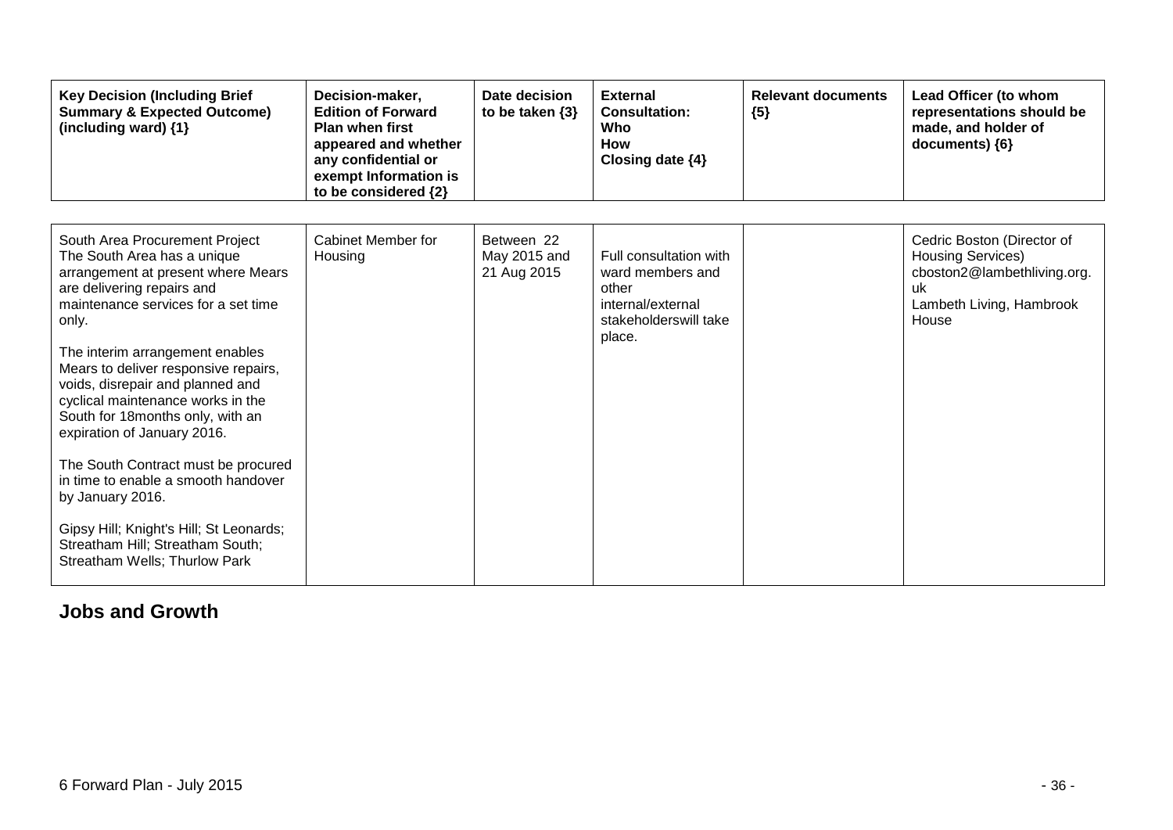| <b>Key Decision (Including Brief</b><br><b>Summary &amp; Expected Outcome)</b><br>(including ward) {1}                                                                                                                                                                                                                                                                                                                                                                                                                                                                                                                             | Decision-maker,<br><b>Edition of Forward</b><br><b>Plan when first</b><br>appeared and whether<br>any confidential or<br>exempt Information is<br>to be considered {2} | Date decision<br>to be taken $\{3\}$      | <b>External</b><br><b>Consultation:</b><br>Who<br><b>How</b><br>Closing date {4}                            | <b>Relevant documents</b><br>${5}$ | Lead Officer (to whom<br>representations should be<br>made, and holder of<br>documents) {6}                                      |
|------------------------------------------------------------------------------------------------------------------------------------------------------------------------------------------------------------------------------------------------------------------------------------------------------------------------------------------------------------------------------------------------------------------------------------------------------------------------------------------------------------------------------------------------------------------------------------------------------------------------------------|------------------------------------------------------------------------------------------------------------------------------------------------------------------------|-------------------------------------------|-------------------------------------------------------------------------------------------------------------|------------------------------------|----------------------------------------------------------------------------------------------------------------------------------|
| South Area Procurement Project<br>The South Area has a unique<br>arrangement at present where Mears<br>are delivering repairs and<br>maintenance services for a set time<br>only.<br>The interim arrangement enables<br>Mears to deliver responsive repairs,<br>voids, disrepair and planned and<br>cyclical maintenance works in the<br>South for 18 months only, with an<br>expiration of January 2016.<br>The South Contract must be procured<br>in time to enable a smooth handover<br>by January 2016.<br>Gipsy Hill; Knight's Hill; St Leonards;<br>Streatham Hill; Streatham South;<br><b>Streatham Wells; Thurlow Park</b> | Cabinet Member for<br>Housing                                                                                                                                          | Between 22<br>May 2015 and<br>21 Aug 2015 | Full consultation with<br>ward members and<br>other<br>internal/external<br>stakeholderswill take<br>place. |                                    | Cedric Boston (Director of<br><b>Housing Services)</b><br>cboston2@lambethliving.org.<br>uk<br>Lambeth Living, Hambrook<br>House |

## **Jobs and Growth**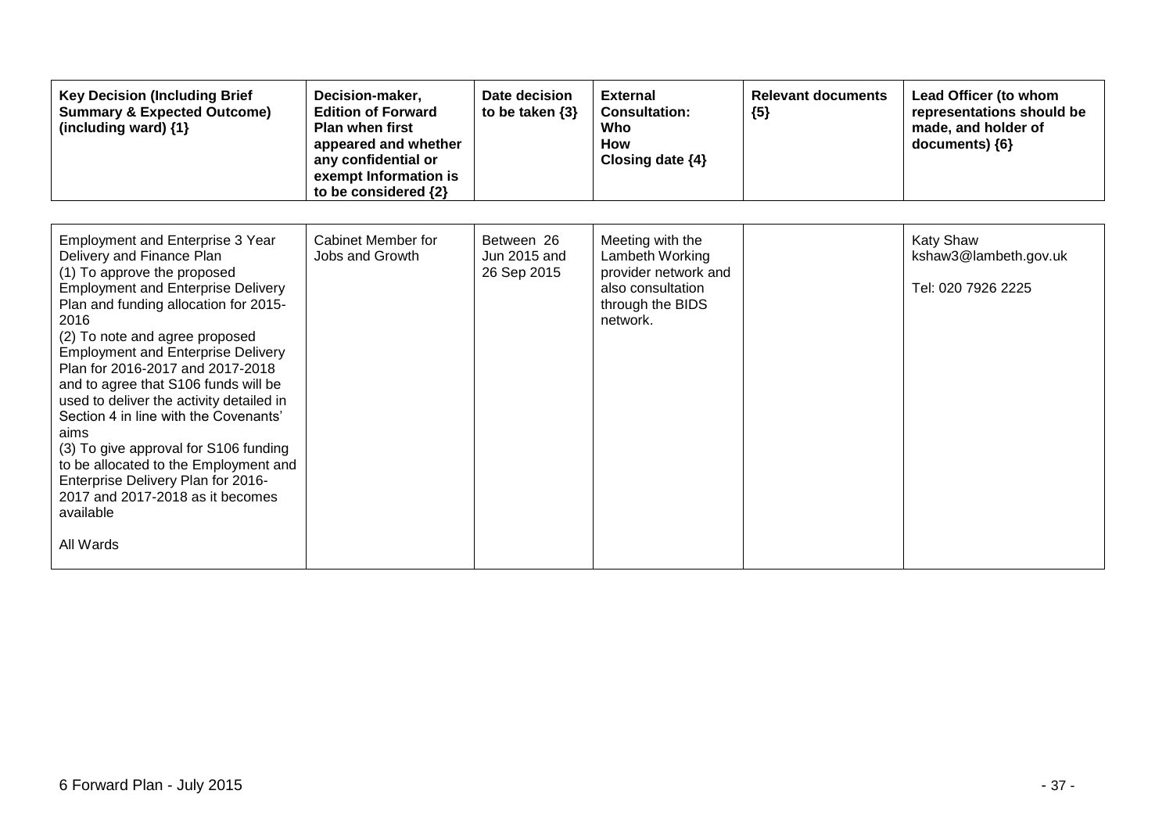| <b>Key Decision (Including Brief</b><br><b>Summary &amp; Expected Outcome)</b><br>(including ward) {1}                                                                                                                                                                                                                                                                                                                                                                                                                                                                                                                                          | Decision-maker,<br><b>Edition of Forward</b><br><b>Plan when first</b><br>appeared and whether<br>any confidential or<br>exempt Information is<br>to be considered {2} | Date decision<br>to be taken $\{3\}$      | <b>External</b><br><b>Consultation:</b><br>Who<br><b>How</b><br>Closing date $\{4\}$                             | <b>Relevant documents</b><br>${5}$ | Lead Officer (to whom<br>representations should be<br>made, and holder of<br>documents) {6} |
|-------------------------------------------------------------------------------------------------------------------------------------------------------------------------------------------------------------------------------------------------------------------------------------------------------------------------------------------------------------------------------------------------------------------------------------------------------------------------------------------------------------------------------------------------------------------------------------------------------------------------------------------------|------------------------------------------------------------------------------------------------------------------------------------------------------------------------|-------------------------------------------|------------------------------------------------------------------------------------------------------------------|------------------------------------|---------------------------------------------------------------------------------------------|
| <b>Employment and Enterprise 3 Year</b><br>Delivery and Finance Plan<br>(1) To approve the proposed<br><b>Employment and Enterprise Delivery</b><br>Plan and funding allocation for 2015-<br>2016<br>(2) To note and agree proposed<br><b>Employment and Enterprise Delivery</b><br>Plan for 2016-2017 and 2017-2018<br>and to agree that S106 funds will be<br>used to deliver the activity detailed in<br>Section 4 in line with the Covenants'<br>aims<br>(3) To give approval for S106 funding<br>to be allocated to the Employment and<br>Enterprise Delivery Plan for 2016-<br>2017 and 2017-2018 as it becomes<br>available<br>All Wards | Cabinet Member for<br>Jobs and Growth                                                                                                                                  | Between 26<br>Jun 2015 and<br>26 Sep 2015 | Meeting with the<br>Lambeth Working<br>provider network and<br>also consultation<br>through the BIDS<br>network. |                                    | <b>Katy Shaw</b><br>kshaw3@lambeth.gov.uk<br>Tel: 020 7926 2225                             |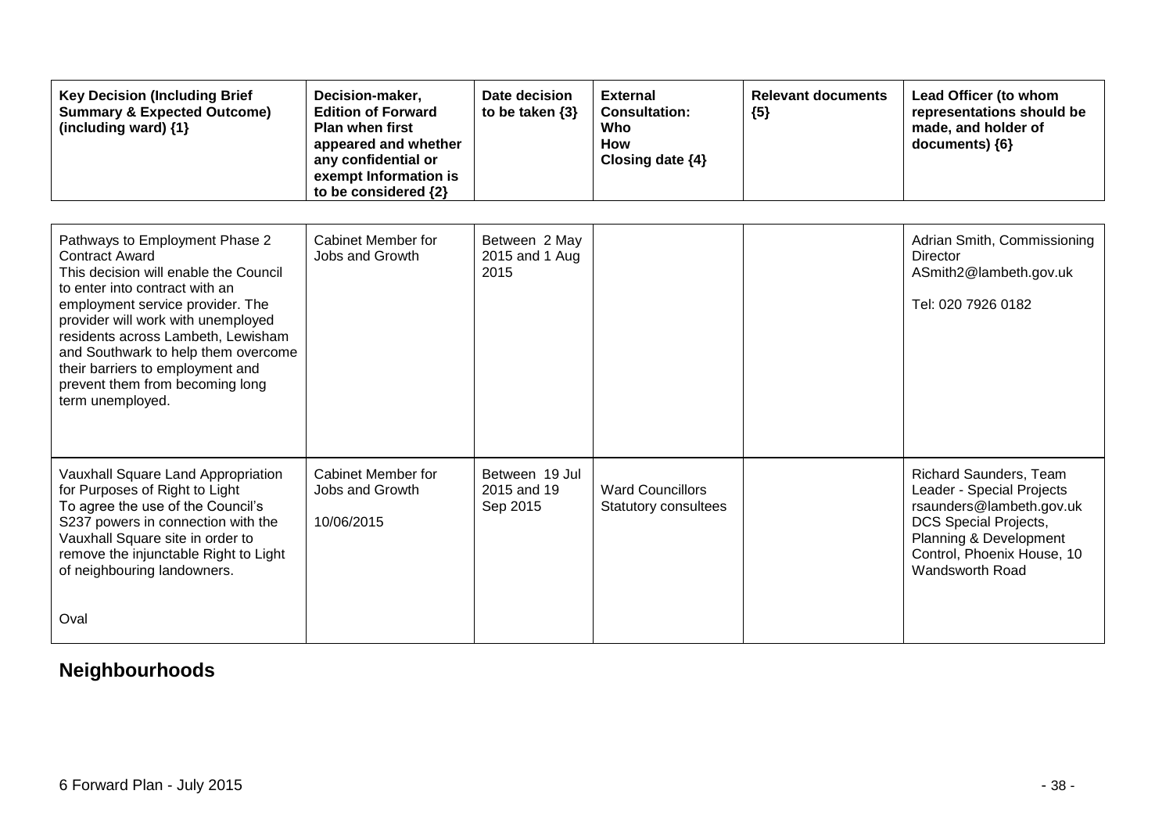| <b>Key Decision (Including Brief</b><br><b>Summary &amp; Expected Outcome)</b><br>(including ward) {1}                                                                                                                                                                                                                                                                               | Decision-maker,<br><b>Edition of Forward</b><br><b>Plan when first</b><br>appeared and whether<br>any confidential or<br>exempt Information is<br>to be considered {2} | Date decision<br>to be taken $\{3\}$      | <b>External</b><br><b>Consultation:</b><br>Who<br><b>How</b><br>Closing date {4} | <b>Relevant documents</b><br>${5}$ | Lead Officer (to whom<br>representations should be<br>made, and holder of<br>documents) {6}                                                                                                |
|--------------------------------------------------------------------------------------------------------------------------------------------------------------------------------------------------------------------------------------------------------------------------------------------------------------------------------------------------------------------------------------|------------------------------------------------------------------------------------------------------------------------------------------------------------------------|-------------------------------------------|----------------------------------------------------------------------------------|------------------------------------|--------------------------------------------------------------------------------------------------------------------------------------------------------------------------------------------|
| Pathways to Employment Phase 2<br><b>Contract Award</b><br>This decision will enable the Council<br>to enter into contract with an<br>employment service provider. The<br>provider will work with unemployed<br>residents across Lambeth, Lewisham<br>and Southwark to help them overcome<br>their barriers to employment and<br>prevent them from becoming long<br>term unemployed. | Cabinet Member for<br>Jobs and Growth                                                                                                                                  | Between 2 May<br>2015 and 1 Aug<br>2015   |                                                                                  |                                    | Adrian Smith, Commissioning<br><b>Director</b><br>ASmith2@lambeth.gov.uk<br>Tel: 020 7926 0182                                                                                             |
| <b>Vauxhall Square Land Appropriation</b><br>for Purposes of Right to Light<br>To agree the use of the Council's<br>S237 powers in connection with the<br>Vauxhall Square site in order to<br>remove the injunctable Right to Light<br>of neighbouring landowners.<br>Oval                                                                                                           | Cabinet Member for<br>Jobs and Growth<br>10/06/2015                                                                                                                    | Between 19 Jul<br>2015 and 19<br>Sep 2015 | <b>Ward Councillors</b><br><b>Statutory consultees</b>                           |                                    | Richard Saunders, Team<br>Leader - Special Projects<br>rsaunders@lambeth.gov.uk<br><b>DCS Special Projects,</b><br>Planning & Development<br>Control, Phoenix House, 10<br>Wandsworth Road |

# **Neighbourhoods**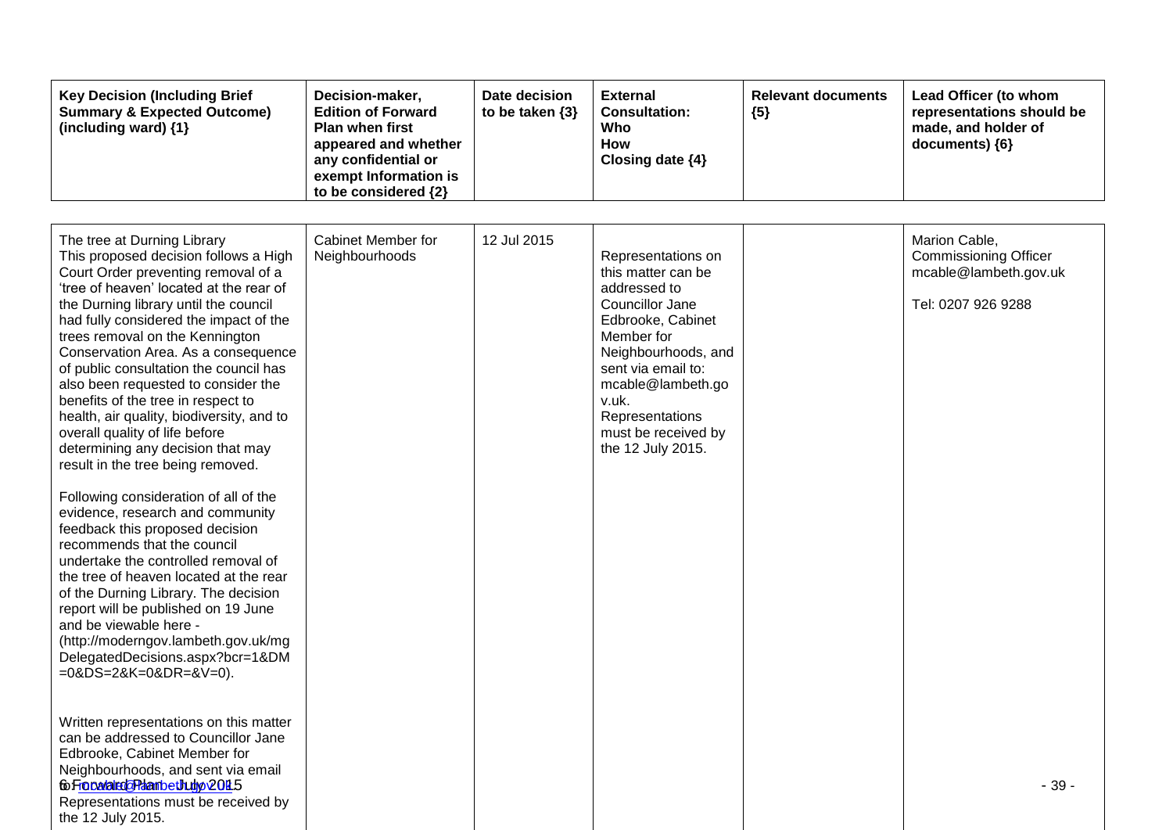| <b>Key Decision (Including Brief</b><br><b>Summary &amp; Expected Outcome)</b><br>(including ward) {1}                                                                                                                                                                                                                                                                                                                                                                                                                                                                                                                                                                                                                                                                                                                                                                                                                                                                                                                                              | Decision-maker,<br><b>Edition of Forward</b><br><b>Plan when first</b><br>appeared and whether<br>any confidential or<br>exempt Information is<br>to be considered {2} | Date decision<br>to be taken $\{3\}$ | <b>External</b><br><b>Consultation:</b><br>Who<br>How<br>Closing date {4}                                                                                                                                                                                | <b>Relevant documents</b><br>${5}$ | Lead Officer (to whom<br>representations should be<br>made, and holder of<br>documents) {6}  |
|-----------------------------------------------------------------------------------------------------------------------------------------------------------------------------------------------------------------------------------------------------------------------------------------------------------------------------------------------------------------------------------------------------------------------------------------------------------------------------------------------------------------------------------------------------------------------------------------------------------------------------------------------------------------------------------------------------------------------------------------------------------------------------------------------------------------------------------------------------------------------------------------------------------------------------------------------------------------------------------------------------------------------------------------------------|------------------------------------------------------------------------------------------------------------------------------------------------------------------------|--------------------------------------|----------------------------------------------------------------------------------------------------------------------------------------------------------------------------------------------------------------------------------------------------------|------------------------------------|----------------------------------------------------------------------------------------------|
| The tree at Durning Library<br>This proposed decision follows a High<br>Court Order preventing removal of a<br>'tree of heaven' located at the rear of<br>the Durning library until the council<br>had fully considered the impact of the<br>trees removal on the Kennington<br>Conservation Area. As a consequence<br>of public consultation the council has<br>also been requested to consider the<br>benefits of the tree in respect to<br>health, air quality, biodiversity, and to<br>overall quality of life before<br>determining any decision that may<br>result in the tree being removed.<br>Following consideration of all of the<br>evidence, research and community<br>feedback this proposed decision<br>recommends that the council<br>undertake the controlled removal of<br>the tree of heaven located at the rear<br>of the Durning Library. The decision<br>report will be published on 19 June<br>and be viewable here -<br>(http://moderngov.lambeth.gov.uk/mg<br>DelegatedDecisions.aspx?bcr=1&DM<br>$=0$ &DS=2&K=0&DR=&V=0). | Cabinet Member for<br>Neighbourhoods                                                                                                                                   | 12 Jul 2015                          | Representations on<br>this matter can be<br>addressed to<br>Councillor Jane<br>Edbrooke, Cabinet<br>Member for<br>Neighbourhoods, and<br>sent via email to:<br>mcable@lambeth.go<br>v.uk.<br>Representations<br>must be received by<br>the 12 July 2015. |                                    | Marion Cable,<br><b>Commissioning Officer</b><br>mcable@lambeth.gov.uk<br>Tel: 0207 926 9288 |
| Written representations on this matter<br>can be addressed to Councillor Jane<br>Edbrooke, Cabinet Member for<br>Neighbourhoods, and sent via email<br>to Frace/alsda Plant bethut yo 2018.5<br>Representations must be received by<br>the 12 July 2015.                                                                                                                                                                                                                                                                                                                                                                                                                                                                                                                                                                                                                                                                                                                                                                                            |                                                                                                                                                                        |                                      |                                                                                                                                                                                                                                                          |                                    | $-39-$                                                                                       |